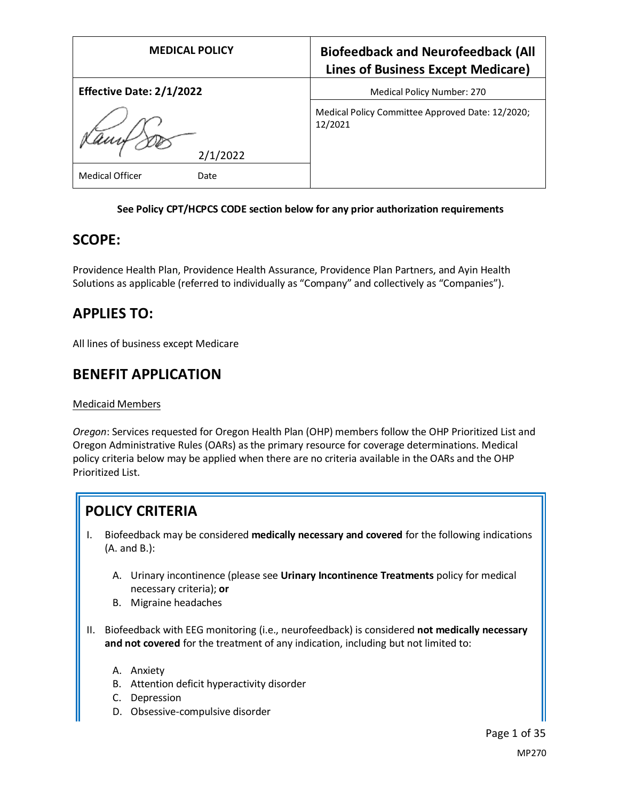| <b>MEDICAL POLICY</b>           | <b>Biofeedback and Neurofeedback (All</b><br><b>Lines of Business Except Medicare)</b> |
|---------------------------------|----------------------------------------------------------------------------------------|
| <b>Effective Date: 2/1/2022</b> | Medical Policy Number: 270                                                             |
| 2/1/2022                        | Medical Policy Committee Approved Date: 12/2020;<br>12/2021                            |
| <b>Medical Officer</b><br>Date  |                                                                                        |

### **See Policy CPT/HCPCS CODE section below for any prior authorization requirements**

## **SCOPE:**

Providence Health Plan, Providence Health Assurance, Providence Plan Partners, and Ayin Health Solutions as applicable (referred to individually as "Company" and collectively as "Companies").

## **APPLIES TO:**

All lines of business except Medicare

## **BENEFIT APPLICATION**

#### Medicaid Members

*Oregon*: Services requested for Oregon Health Plan (OHP) members follow the OHP Prioritized List and Oregon Administrative Rules (OARs) as the primary resource for coverage determinations. Medical policy criteria below may be applied when there are no criteria available in the OARs and the OHP Prioritized List.

## **POLICY CRITERIA**

- I. Biofeedback may be considered **medically necessary and covered** for the following indications (A. and B.):
	- A. Urinary incontinence (please see **Urinary Incontinence Treatments** policy for medical necessary criteria); **or**
	- B. Migraine headaches
- II. Biofeedback with EEG monitoring (i.e., neurofeedback) is considered **not medically necessary and not covered** for the treatment of any indication, including but not limited to:
	- A. Anxiety
	- B. Attention deficit hyperactivity disorder
	- C. Depression
	- D. Obsessive-compulsive disorder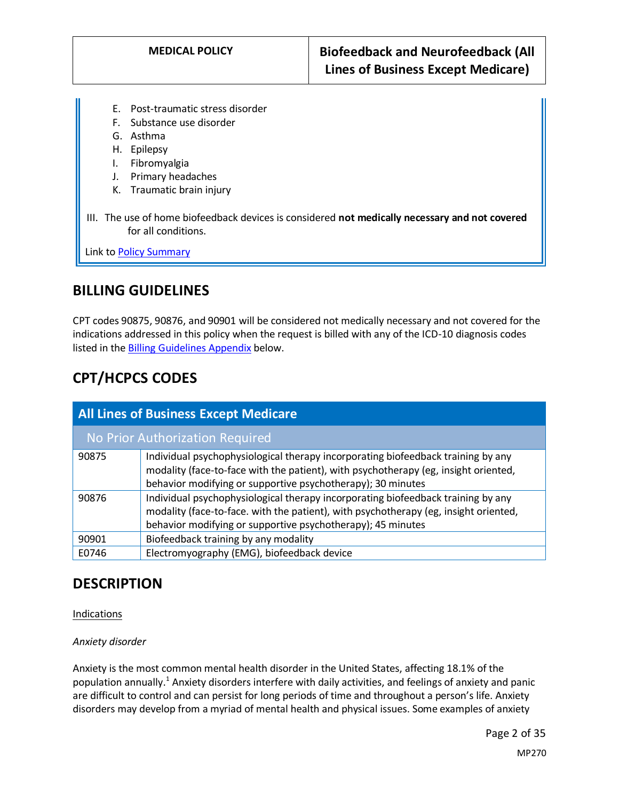- E. Post-traumatic stress disorder
- F. Substance use disorder
- G. Asthma
- H. Epilepsy
- I. Fibromyalgia
- J. Primary headaches
- K. Traumatic brain injury
- III. The use of home biofeedback devices is considered **not medically necessary and not covered**  for all conditions.

Link t[o Policy Summary](#page-17-0)

## **BILLING GUIDELINES**

CPT codes 90875, 90876, and 90901 will be considered not medically necessary and not covered for the indications addressed in this policy when the request is billed with any of the ICD-10 diagnosis codes listed in the [Billing Guidelines Appendix](#page-23-0) below.

# **CPT/HCPCS CODES**

| <b>All Lines of Business Except Medicare</b> |                                                                                                                                                                                                                                         |  |
|----------------------------------------------|-----------------------------------------------------------------------------------------------------------------------------------------------------------------------------------------------------------------------------------------|--|
| No Prior Authorization Required              |                                                                                                                                                                                                                                         |  |
| 90875                                        | Individual psychophysiological therapy incorporating biofeedback training by any<br>modality (face-to-face with the patient), with psychotherapy (eg, insight oriented,<br>behavior modifying or supportive psychotherapy); 30 minutes  |  |
| 90876                                        | Individual psychophysiological therapy incorporating biofeedback training by any<br>modality (face-to-face. with the patient), with psychotherapy (eg, insight oriented,<br>behavior modifying or supportive psychotherapy); 45 minutes |  |
| 90901                                        | Biofeedback training by any modality                                                                                                                                                                                                    |  |
| E0746                                        | Electromyography (EMG), biofeedback device                                                                                                                                                                                              |  |

## **DESCRIPTION**

Indications

#### *Anxiety disorder*

Anxiety is the most common mental health disorder in the United States, affecting 18.1% of the population annually.<sup>1</sup> Anxiety disorders interfere with daily activities, and feelings of anxiety and panic are difficult to control and can persist for long periods of time and throughout a person's life. Anxiety disorders may develop from a myriad of mental health and physical issues. Some examples of anxiety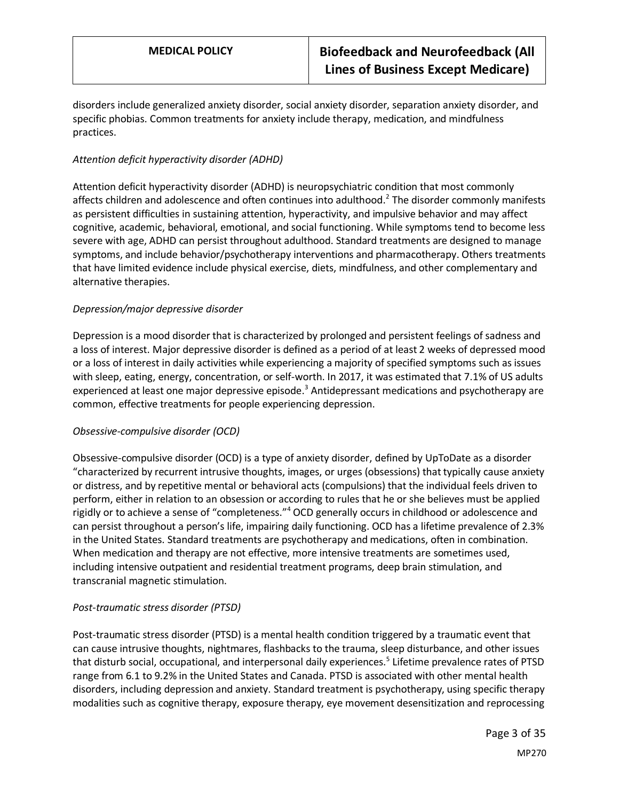disorders include generalized anxiety disorder, social anxiety disorder, separation anxiety disorder, and specific phobias. Common treatments for anxiety include therapy, medication, and mindfulness practices.

### *Attention deficit hyperactivity disorder (ADHD)*

Attention deficit hyperactivity disorder (ADHD) is neuropsychiatric condition that most commonly affects children and adolescence and often continues into adulthood.<sup>2</sup> The disorder commonly manifests as persistent difficulties in sustaining attention, hyperactivity, and impulsive behavior and may affect cognitive, academic, behavioral, emotional, and social functioning. While symptoms tend to become less severe with age, ADHD can persist throughout adulthood. Standard treatments are designed to manage symptoms, and include behavior/psychotherapy interventions and pharmacotherapy. Others treatments that have limited evidence include physical exercise, diets, mindfulness, and other complementary and alternative therapies.

### *Depression/major depressive disorder*

Depression is a mood disorder that is characterized by prolonged and persistent feelings of sadness and a loss of interest. Major depressive disorder is defined as a period of at least 2 weeks of depressed mood or a loss of interest in daily activities while experiencing a majority of specified symptoms such as issues with sleep, eating, energy, concentration, or self-worth. In 2017, it was estimated that 7.1% of US adults experienced at least one major depressive episode.<sup>3</sup> Antidepressant medications and psychotherapy are common, effective treatments for people experiencing depression.

### *Obsessive-compulsive disorder (OCD)*

Obsessive-compulsive disorder (OCD) is a type of anxiety disorder, defined by UpToDate as a disorder "characterized by recurrent intrusive thoughts, images, or urges (obsessions) that typically cause anxiety or distress, and by repetitive mental or behavioral acts (compulsions) that the individual feels driven to perform, either in relation to an obsession or according to rules that he or she believes must be applied rigidly or to achieve a sense of "completeness."<sup>4</sup> OCD generally occurs in childhood or adolescence and can persist throughout a person's life, impairing daily functioning. OCD has a lifetime prevalence of 2.3% in the United States. Standard treatments are psychotherapy and medications, often in combination. When medication and therapy are not effective, more intensive treatments are sometimes used, including intensive outpatient and residential treatment programs, deep brain stimulation, and transcranial magnetic stimulation.

### *Post-traumatic stress disorder (PTSD)*

Post-traumatic stress disorder (PTSD) is a mental health condition triggered by a traumatic event that can cause intrusive thoughts, nightmares, flashbacks to the trauma, sleep disturbance, and other issues that disturb social, occupational, and interpersonal daily experiences.<sup>5</sup> Lifetime prevalence rates of PTSD range from 6.1 to 9.2% in the United States and Canada. PTSD is associated with other mental health disorders, including depression and anxiety. Standard treatment is psychotherapy, using specific therapy modalities such as cognitive therapy, exposure therapy, eye movement desensitization and reprocessing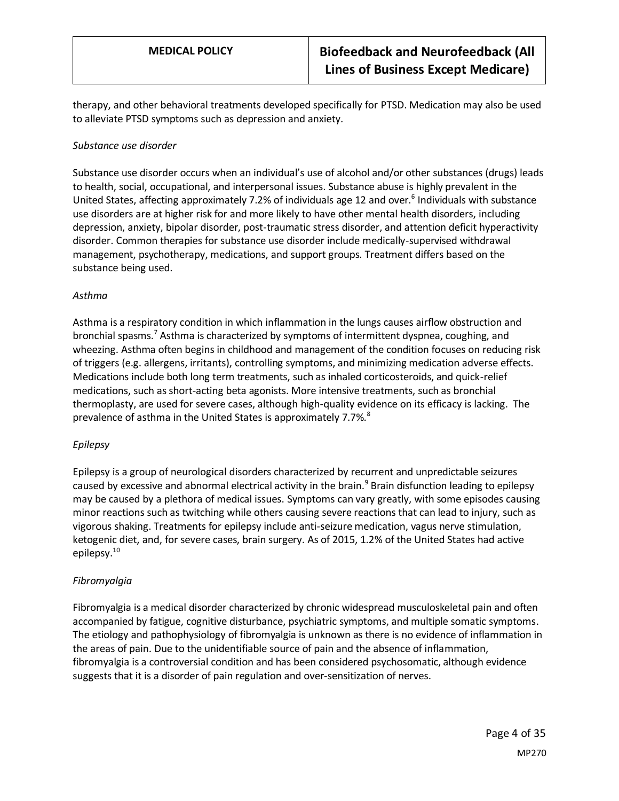therapy, and other behavioral treatments developed specifically for PTSD. Medication may also be used to alleviate PTSD symptoms such as depression and anxiety.

#### *Substance use disorder*

Substance use disorder occurs when an individual's use of alcohol and/or other substances (drugs) leads to health, social, occupational, and interpersonal issues. Substance abuse is highly prevalent in the United States, affecting approximately 7.2% of individuals age 12 and over.<sup>6</sup> Individuals with substance use disorders are at higher risk for and more likely to have other mental health disorders, including depression, anxiety, bipolar disorder, post-traumatic stress disorder, and attention deficit hyperactivity disorder. Common therapies for substance use disorder include medically-supervised withdrawal management, psychotherapy, medications, and support groups. Treatment differs based on the substance being used.

#### *Asthma*

Asthma is a respiratory condition in which inflammation in the lungs causes airflow obstruction and bronchial spasms.<sup>7</sup> Asthma is characterized by symptoms of intermittent dyspnea, coughing, and wheezing. Asthma often begins in childhood and management of the condition focuses on reducing risk of triggers (e.g. allergens, irritants), controlling symptoms, and minimizing medication adverse effects. Medications include both long term treatments, such as inhaled corticosteroids, and quick-relief medications, such as short-acting beta agonists. More intensive treatments, such as bronchial thermoplasty, are used for severe cases, although high-quality evidence on its efficacy is lacking. The prevalence of asthma in the United States is approximately 7.7%.<sup>8</sup>

### *Epilepsy*

Epilepsy is a group of neurological disorders characterized by recurrent and unpredictable seizures caused by excessive and abnormal electrical activity in the brain.<sup>9</sup> Brain disfunction leading to epilepsy may be caused by a plethora of medical issues. Symptoms can vary greatly, with some episodes causing minor reactions such as twitching while others causing severe reactions that can lead to injury, such as vigorous shaking. Treatments for epilepsy include anti-seizure medication, vagus nerve stimulation, ketogenic diet, and, for severe cases, brain surgery. As of 2015, 1.2% of the United States had active epilepsy.<sup>10</sup>

### *Fibromyalgia*

Fibromyalgia is a medical disorder characterized by chronic widespread musculoskeletal pain and often accompanied by fatigue, cognitive disturbance, psychiatric symptoms, and multiple somatic symptoms. The etiology and pathophysiology of fibromyalgia is unknown as there is no evidence of inflammation in the areas of pain. Due to the unidentifiable source of pain and the absence of inflammation, fibromyalgia is a controversial condition and has been considered psychosomatic, although evidence suggests that it is a disorder of pain regulation and over-sensitization of nerves.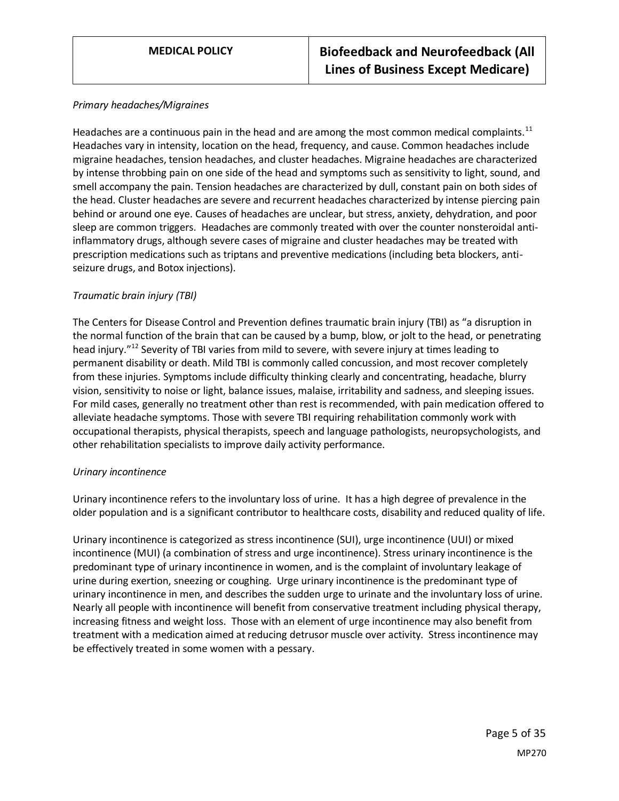#### *Primary headaches/Migraines*

Headaches are a continuous pain in the head and are among the most common medical complaints.<sup>11</sup> Headaches vary in intensity, location on the head, frequency, and cause. Common headaches include migraine headaches, tension headaches, and cluster headaches. Migraine headaches are characterized by intense throbbing pain on one side of the head and symptoms such as sensitivity to light, sound, and smell accompany the pain. Tension headaches are characterized by dull, constant pain on both sides of the head. Cluster headaches are severe and recurrent headaches characterized by intense piercing pain behind or around one eye. Causes of headaches are unclear, but stress, anxiety, dehydration, and poor sleep are common triggers. Headaches are commonly treated with over the counter nonsteroidal antiinflammatory drugs, although severe cases of migraine and cluster headaches may be treated with prescription medications such as triptans and preventive medications (including beta blockers, antiseizure drugs, and Botox injections).

#### *Traumatic brain injury (TBI)*

The Centers for Disease Control and Prevention defines traumatic brain injury (TBI) as "a disruption in the normal function of the brain that can be caused by a bump, blow, or jolt to the head, or penetrating head injury."<sup>12</sup> Severity of TBI varies from mild to severe, with severe injury at times leading to permanent disability or death. Mild TBI is commonly called concussion, and most recover completely from these injuries. Symptoms include difficulty thinking clearly and concentrating, headache, blurry vision, sensitivity to noise or light, balance issues, malaise, irritability and sadness, and sleeping issues. For mild cases, generally no treatment other than rest is recommended, with pain medication offered to alleviate headache symptoms. Those with severe TBI requiring rehabilitation commonly work with occupational therapists, physical therapists, speech and language pathologists, neuropsychologists, and other rehabilitation specialists to improve daily activity performance.

#### *Urinary incontinence*

Urinary incontinence refers to the involuntary loss of urine. It has a high degree of prevalence in the older population and is a significant contributor to healthcare costs, disability and reduced quality of life.

Urinary incontinence is categorized as stress incontinence (SUI), urge incontinence (UUI) or mixed incontinence (MUI) (a combination of stress and urge incontinence). Stress urinary incontinence is the predominant type of urinary incontinence in women, and is the complaint of involuntary leakage of urine during exertion, sneezing or coughing. Urge urinary incontinence is the predominant type of urinary incontinence in men, and describes the sudden urge to urinate and the involuntary loss of urine. Nearly all people with incontinence will benefit from conservative treatment including physical therapy, increasing fitness and weight loss. Those with an element of urge incontinence may also benefit from treatment with a medication aimed at reducing detrusor muscle over activity. Stress incontinence may be effectively treated in some women with a pessary.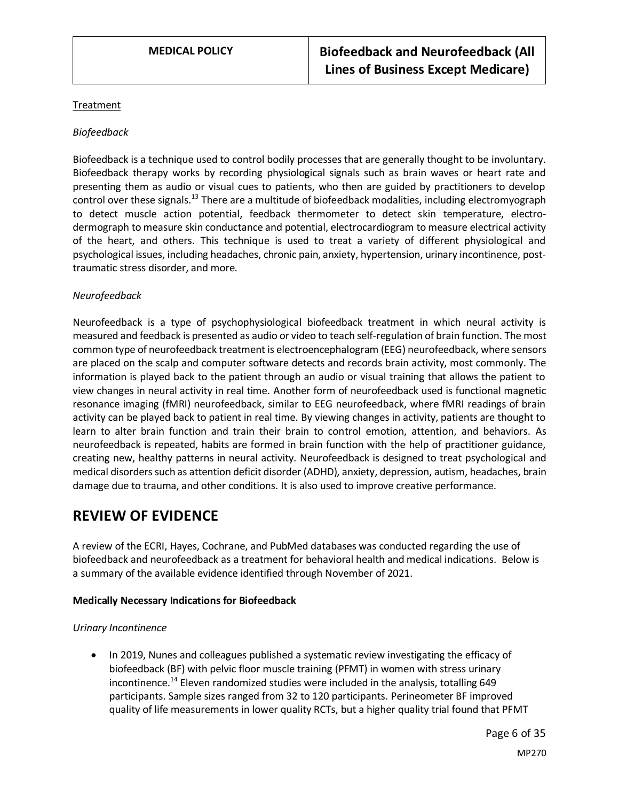#### Treatment

#### *Biofeedback*

Biofeedback is a technique used to control bodily processes that are generally thought to be involuntary. Biofeedback therapy works by recording physiological signals such as brain waves or heart rate and presenting them as audio or visual cues to patients, who then are guided by practitioners to develop control over these signals.<sup>13</sup> There are a multitude of biofeedback modalities, including electromyograph to detect muscle action potential, feedback thermometer to detect skin temperature, electrodermograph to measure skin conductance and potential, electrocardiogram to measure electrical activity of the heart, and others. This technique is used to treat a variety of different physiological and psychological issues, including headaches, chronic pain, anxiety, hypertension, urinary incontinence, posttraumatic stress disorder, and more.

#### *Neurofeedback*

Neurofeedback is a type of psychophysiological biofeedback treatment in which neural activity is measured and feedback is presented as audio or video to teach self-regulation of brain function. The most common type of neurofeedback treatment is electroencephalogram (EEG) neurofeedback, where sensors are placed on the scalp and computer software detects and records brain activity, most commonly. The information is played back to the patient through an audio or visual training that allows the patient to view changes in neural activity in real time. Another form of neurofeedback used is functional magnetic resonance imaging (fMRI) neurofeedback, similar to EEG neurofeedback, where fMRI readings of brain activity can be played back to patient in real time. By viewing changes in activity, patients are thought to learn to alter brain function and train their brain to control emotion, attention, and behaviors. As neurofeedback is repeated, habits are formed in brain function with the help of practitioner guidance, creating new, healthy patterns in neural activity. Neurofeedback is designed to treat psychological and medical disorders such as attention deficit disorder (ADHD), anxiety, depression, autism, headaches, brain damage due to trauma, and other conditions. It is also used to improve creative performance.

## **REVIEW OF EVIDENCE**

A review of the ECRI, Hayes, Cochrane, and PubMed databases was conducted regarding the use of biofeedback and neurofeedback as a treatment for behavioral health and medical indications. Below is a summary of the available evidence identified through November of 2021.

#### **Medically Necessary Indications for Biofeedback**

#### *Urinary Incontinence*

• In 2019, Nunes and colleagues published a systematic review investigating the efficacy of biofeedback (BF) with pelvic floor muscle training (PFMT) in women with stress urinary incontinence.<sup>14</sup> Eleven randomized studies were included in the analysis, totalling 649 participants. Sample sizes ranged from 32 to 120 participants. Perineometer BF improved quality of life measurements in lower quality RCTs, but a higher quality trial found that PFMT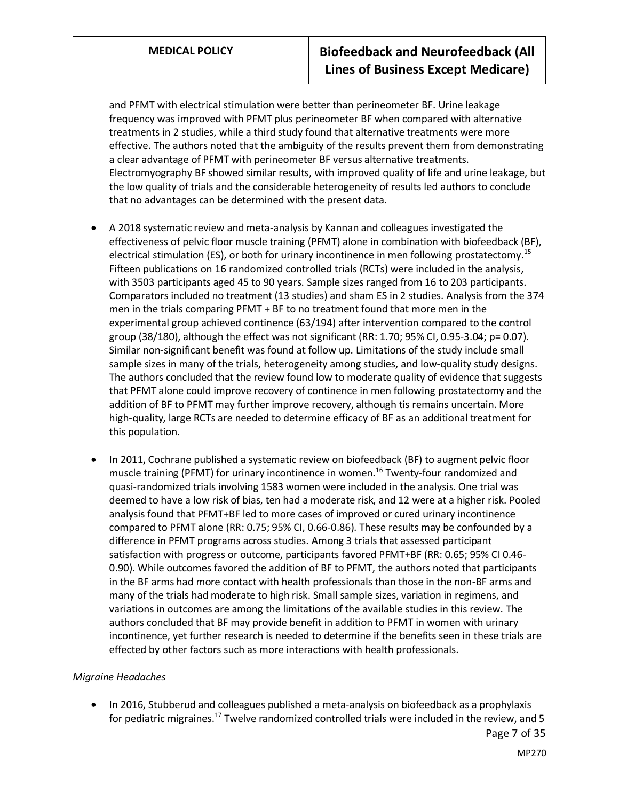and PFMT with electrical stimulation were better than perineometer BF. Urine leakage frequency was improved with PFMT plus perineometer BF when compared with alternative treatments in 2 studies, while a third study found that alternative treatments were more effective. The authors noted that the ambiguity of the results prevent them from demonstrating a clear advantage of PFMT with perineometer BF versus alternative treatments. Electromyography BF showed similar results, with improved quality of life and urine leakage, but the low quality of trials and the considerable heterogeneity of results led authors to conclude that no advantages can be determined with the present data.

- A 2018 systematic review and meta-analysis by Kannan and colleagues investigated the effectiveness of pelvic floor muscle training (PFMT) alone in combination with biofeedback (BF), electrical stimulation (ES), or both for urinary incontinence in men following prostatectomy.<sup>15</sup> Fifteen publications on 16 randomized controlled trials (RCTs) were included in the analysis, with 3503 participants aged 45 to 90 years. Sample sizes ranged from 16 to 203 participants. Comparators included no treatment (13 studies) and sham ES in 2 studies. Analysis from the 374 men in the trials comparing PFMT + BF to no treatment found that more men in the experimental group achieved continence (63/194) after intervention compared to the control group (38/180), although the effect was not significant (RR: 1.70; 95% CI, 0.95-3.04; p= 0.07). Similar non-significant benefit was found at follow up. Limitations of the study include small sample sizes in many of the trials, heterogeneity among studies, and low-quality study designs. The authors concluded that the review found low to moderate quality of evidence that suggests that PFMT alone could improve recovery of continence in men following prostatectomy and the addition of BF to PFMT may further improve recovery, although tis remains uncertain. More high-quality, large RCTs are needed to determine efficacy of BF as an additional treatment for this population.
- In 2011, Cochrane published a systematic review on biofeedback (BF) to augment pelvic floor muscle training (PFMT) for urinary incontinence in women.<sup>16</sup> Twenty-four randomized and quasi-randomized trials involving 1583 women were included in the analysis. One trial was deemed to have a low risk of bias, ten had a moderate risk, and 12 were at a higher risk. Pooled analysis found that PFMT+BF led to more cases of improved or cured urinary incontinence compared to PFMT alone (RR: 0.75; 95% CI, 0.66-0.86). These results may be confounded by a difference in PFMT programs across studies. Among 3 trials that assessed participant satisfaction with progress or outcome, participants favored PFMT+BF (RR: 0.65; 95% CI 0.46- 0.90). While outcomes favored the addition of BF to PFMT, the authors noted that participants in the BF arms had more contact with health professionals than those in the non-BF arms and many of the trials had moderate to high risk. Small sample sizes, variation in regimens, and variations in outcomes are among the limitations of the available studies in this review. The authors concluded that BF may provide benefit in addition to PFMT in women with urinary incontinence, yet further research is needed to determine if the benefits seen in these trials are effected by other factors such as more interactions with health professionals.

#### *Migraine Headaches*

• In 2016, Stubberud and colleagues published a meta-analysis on biofeedback as a prophylaxis for pediatric migraines.<sup>17</sup> Twelve randomized controlled trials were included in the review, and 5

Page 7 of 35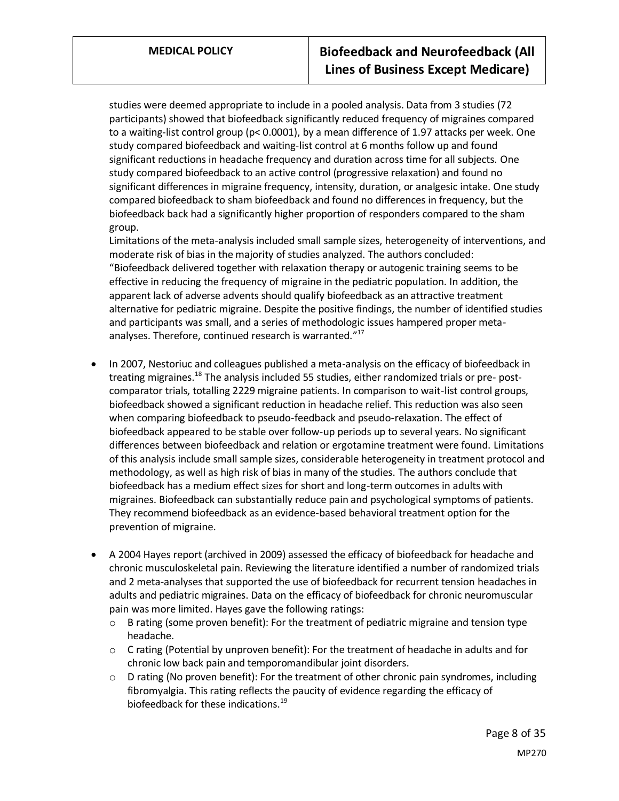studies were deemed appropriate to include in a pooled analysis. Data from 3 studies (72 participants) showed that biofeedback significantly reduced frequency of migraines compared to a waiting-list control group (p< 0.0001), by a mean difference of 1.97 attacks per week. One study compared biofeedback and waiting-list control at 6 months follow up and found significant reductions in headache frequency and duration across time for all subjects. One study compared biofeedback to an active control (progressive relaxation) and found no significant differences in migraine frequency, intensity, duration, or analgesic intake. One study compared biofeedback to sham biofeedback and found no differences in frequency, but the biofeedback back had a significantly higher proportion of responders compared to the sham group.

Limitations of the meta-analysis included small sample sizes, heterogeneity of interventions, and moderate risk of bias in the majority of studies analyzed. The authors concluded: "Biofeedback delivered together with relaxation therapy or autogenic training seems to be effective in reducing the frequency of migraine in the pediatric population. In addition, the apparent lack of adverse advents should qualify biofeedback as an attractive treatment alternative for pediatric migraine. Despite the positive findings, the number of identified studies and participants was small, and a series of methodologic issues hampered proper metaanalyses. Therefore, continued research is warranted."<sup>17</sup>

- In 2007, Nestoriuc and colleagues published a meta-analysis on the efficacy of biofeedback in treating migraines.<sup>18</sup> The analysis included 55 studies, either randomized trials or pre- postcomparator trials, totalling 2229 migraine patients. In comparison to wait-list control groups, biofeedback showed a significant reduction in headache relief. This reduction was also seen when comparing biofeedback to pseudo-feedback and pseudo-relaxation. The effect of biofeedback appeared to be stable over follow-up periods up to several years. No significant differences between biofeedback and relation or ergotamine treatment were found. Limitations of this analysis include small sample sizes, considerable heterogeneity in treatment protocol and methodology, as well as high risk of bias in many of the studies. The authors conclude that biofeedback has a medium effect sizes for short and long-term outcomes in adults with migraines. Biofeedback can substantially reduce pain and psychological symptoms of patients. They recommend biofeedback as an evidence-based behavioral treatment option for the prevention of migraine.
- A 2004 Hayes report (archived in 2009) assessed the efficacy of biofeedback for headache and chronic musculoskeletal pain. Reviewing the literature identified a number of randomized trials and 2 meta-analyses that supported the use of biofeedback for recurrent tension headaches in adults and pediatric migraines. Data on the efficacy of biofeedback for chronic neuromuscular pain was more limited. Hayes gave the following ratings:
	- o B rating (some proven benefit): For the treatment of pediatric migraine and tension type headache.
	- o C rating (Potential by unproven benefit): For the treatment of headache in adults and for chronic low back pain and temporomandibular joint disorders.
	- $\circ$  D rating (No proven benefit): For the treatment of other chronic pain syndromes, including fibromyalgia. This rating reflects the paucity of evidence regarding the efficacy of biofeedback for these indications.<sup>19</sup>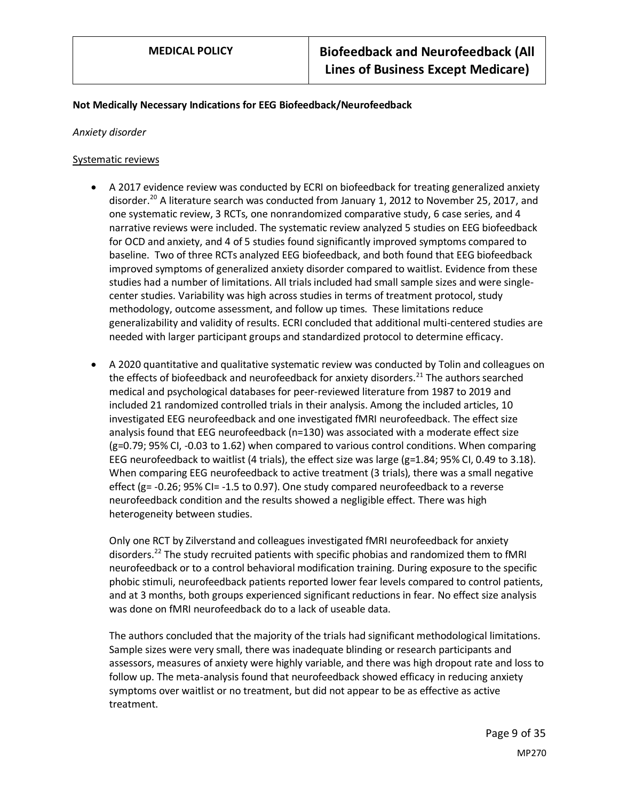#### **Not Medically Necessary Indications for EEG Biofeedback/Neurofeedback**

#### *Anxiety disorder*

#### Systematic reviews

- A 2017 evidence review was conducted by ECRI on biofeedback for treating generalized anxiety disorder.<sup>20</sup> A literature search was conducted from January 1, 2012 to November 25, 2017, and one systematic review, 3 RCTs, one nonrandomized comparative study, 6 case series, and 4 narrative reviews were included. The systematic review analyzed 5 studies on EEG biofeedback for OCD and anxiety, and 4 of 5 studies found significantly improved symptoms compared to baseline. Two of three RCTs analyzed EEG biofeedback, and both found that EEG biofeedback improved symptoms of generalized anxiety disorder compared to waitlist. Evidence from these studies had a number of limitations. All trials included had small sample sizes and were singlecenter studies. Variability was high across studies in terms of treatment protocol, study methodology, outcome assessment, and follow up times. These limitations reduce generalizability and validity of results. ECRI concluded that additional multi-centered studies are needed with larger participant groups and standardized protocol to determine efficacy.
- A 2020 quantitative and qualitative systematic review was conducted by Tolin and colleagues on the effects of biofeedback and neurofeedback for anxiety disorders.<sup>21</sup> The authors searched medical and psychological databases for peer-reviewed literature from 1987 to 2019 and included 21 randomized controlled trials in their analysis. Among the included articles, 10 investigated EEG neurofeedback and one investigated fMRI neurofeedback. The effect size analysis found that EEG neurofeedback (n=130) was associated with a moderate effect size (g=0.79; 95% CI, -0.03 to 1.62) when compared to various control conditions. When comparing EEG neurofeedback to waitlist (4 trials), the effect size was large ( $g=1.84$ ; 95% CI, 0.49 to 3.18). When comparing EEG neurofeedback to active treatment (3 trials), there was a small negative effect ( $g$  = -0.26; 95% CI = -1.5 to 0.97). One study compared neurofeedback to a reverse neurofeedback condition and the results showed a negligible effect. There was high heterogeneity between studies.

Only one RCT by Zilverstand and colleagues investigated fMRI neurofeedback for anxiety disorders.<sup>22</sup> The study recruited patients with specific phobias and randomized them to fMRI neurofeedback or to a control behavioral modification training. During exposure to the specific phobic stimuli, neurofeedback patients reported lower fear levels compared to control patients, and at 3 months, both groups experienced significant reductions in fear. No effect size analysis was done on fMRI neurofeedback do to a lack of useable data.

The authors concluded that the majority of the trials had significant methodological limitations. Sample sizes were very small, there was inadequate blinding or research participants and assessors, measures of anxiety were highly variable, and there was high dropout rate and loss to follow up. The meta-analysis found that neurofeedback showed efficacy in reducing anxiety symptoms over waitlist or no treatment, but did not appear to be as effective as active treatment.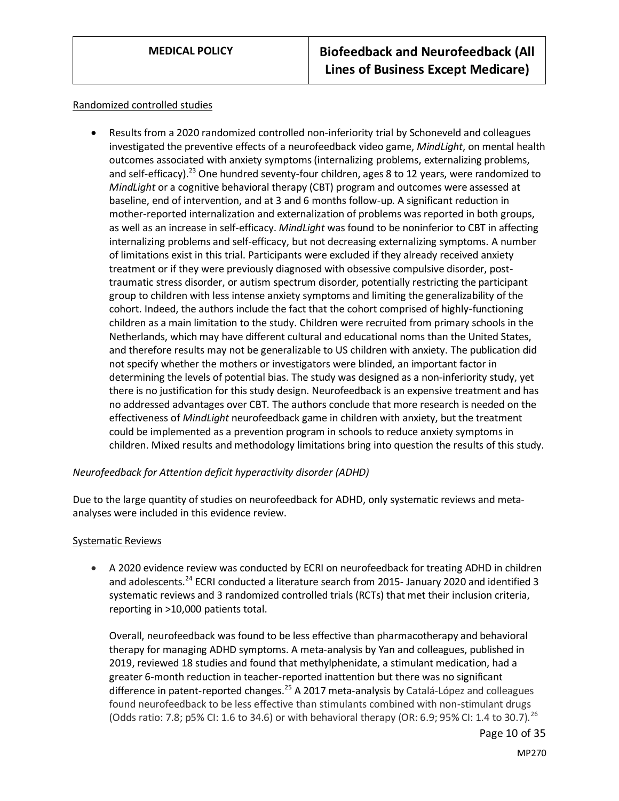#### Randomized controlled studies

• Results from a 2020 randomized controlled non-inferiority trial by Schoneveld and colleagues investigated the preventive effects of a neurofeedback video game, *MindLight*, on mental health outcomes associated with anxiety symptoms (internalizing problems, externalizing problems, and self-efficacy).<sup>23</sup> One hundred seventy-four children, ages 8 to 12 years, were randomized to *MindLight* or a cognitive behavioral therapy (CBT) program and outcomes were assessed at baseline, end of intervention, and at 3 and 6 months follow-up. A significant reduction in mother-reported internalization and externalization of problems was reported in both groups, as well as an increase in self-efficacy. *MindLight* was found to be noninferior to CBT in affecting internalizing problems and self-efficacy, but not decreasing externalizing symptoms. A number of limitations exist in this trial. Participants were excluded if they already received anxiety treatment or if they were previously diagnosed with obsessive compulsive disorder, posttraumatic stress disorder, or autism spectrum disorder, potentially restricting the participant group to children with less intense anxiety symptoms and limiting the generalizability of the cohort. Indeed, the authors include the fact that the cohort comprised of highly-functioning children as a main limitation to the study. Children were recruited from primary schools in the Netherlands, which may have different cultural and educational noms than the United States, and therefore results may not be generalizable to US children with anxiety. The publication did not specify whether the mothers or investigators were blinded, an important factor in determining the levels of potential bias. The study was designed as a non-inferiority study, yet there is no justification for this study design. Neurofeedback is an expensive treatment and has no addressed advantages over CBT. The authors conclude that more research is needed on the effectiveness of *MindLight* neurofeedback game in children with anxiety, but the treatment could be implemented as a prevention program in schools to reduce anxiety symptoms in children. Mixed results and methodology limitations bring into question the results of this study.

#### *Neurofeedback for Attention deficit hyperactivity disorder (ADHD)*

Due to the large quantity of studies on neurofeedback for ADHD, only systematic reviews and metaanalyses were included in this evidence review.

#### Systematic Reviews

• A 2020 evidence review was conducted by ECRI on neurofeedback for treating ADHD in children and adolescents.<sup>24</sup> ECRI conducted a literature search from 2015- January 2020 and identified 3 systematic reviews and 3 randomized controlled trials (RCTs) that met their inclusion criteria, reporting in >10,000 patients total.

Overall, neurofeedback was found to be less effective than pharmacotherapy and behavioral therapy for managing ADHD symptoms. A meta-analysis by Yan and colleagues, published in 2019, reviewed 18 studies and found that methylphenidate, a stimulant medication, had a greater 6-month reduction in teacher-reported inattention but there was no significant difference in patent-reported changes.<sup>25</sup> A 2017 meta-analysis by Catalá-López and colleagues found neurofeedback to be less effective than stimulants combined with non-stimulant drugs (Odds ratio: 7.8; p5% CI: 1.6 to 34.6) or with behavioral therapy (OR: 6.9; 95% CI: 1.4 to 30.7). <sup>26</sup>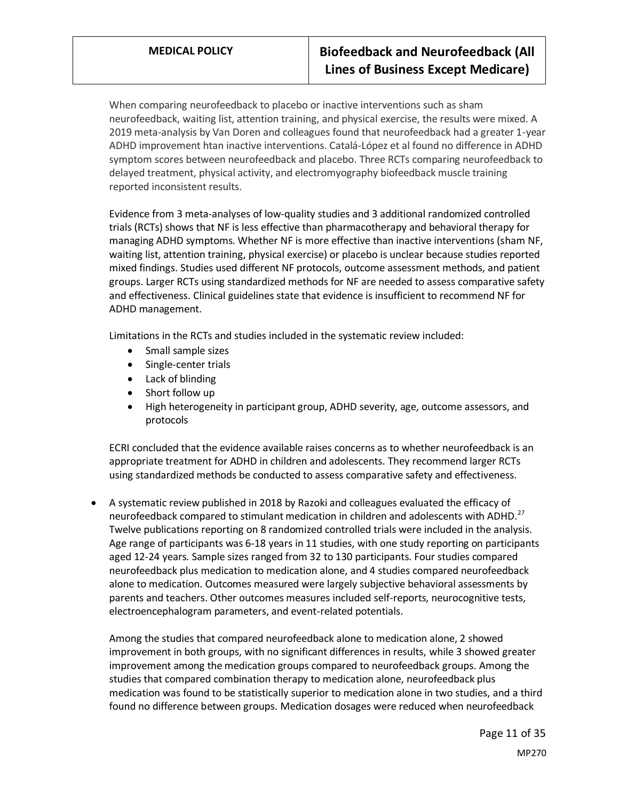When comparing neurofeedback to placebo or inactive interventions such as sham neurofeedback, waiting list, attention training, and physical exercise, the results were mixed. A 2019 meta-analysis by Van Doren and colleagues found that neurofeedback had a greater 1-year ADHD improvement htan inactive interventions. Catalá-López et al found no difference in ADHD symptom scores between neurofeedback and placebo. Three RCTs comparing neurofeedback to delayed treatment, physical activity, and electromyography biofeedback muscle training reported inconsistent results.

Evidence from 3 meta-analyses of low-quality studies and 3 additional randomized controlled trials (RCTs) shows that NF is less effective than pharmacotherapy and behavioral therapy for managing ADHD symptoms. Whether NF is more effective than inactive interventions (sham NF, waiting list, attention training, physical exercise) or placebo is unclear because studies reported mixed findings. Studies used different NF protocols, outcome assessment methods, and patient groups. Larger RCTs using standardized methods for NF are needed to assess comparative safety and effectiveness. Clinical guidelines state that evidence is insufficient to recommend NF for ADHD management.

Limitations in the RCTs and studies included in the systematic review included:

- Small sample sizes
- Single-center trials
- Lack of blinding
- Short follow up
- High heterogeneity in participant group, ADHD severity, age, outcome assessors, and protocols

ECRI concluded that the evidence available raises concerns as to whether neurofeedback is an appropriate treatment for ADHD in children and adolescents. They recommend larger RCTs using standardized methods be conducted to assess comparative safety and effectiveness.

• A systematic review published in 2018 by Razoki and colleagues evaluated the efficacy of neurofeedback compared to stimulant medication in children and adolescents with ADHD.<sup>27</sup> Twelve publications reporting on 8 randomized controlled trials were included in the analysis. Age range of participants was 6-18 years in 11 studies, with one study reporting on participants aged 12-24 years. Sample sizes ranged from 32 to 130 participants. Four studies compared neurofeedback plus medication to medication alone, and 4 studies compared neurofeedback alone to medication. Outcomes measured were largely subjective behavioral assessments by parents and teachers. Other outcomes measures included self-reports, neurocognitive tests, electroencephalogram parameters, and event-related potentials.

Among the studies that compared neurofeedback alone to medication alone, 2 showed improvement in both groups, with no significant differences in results, while 3 showed greater improvement among the medication groups compared to neurofeedback groups. Among the studies that compared combination therapy to medication alone, neurofeedback plus medication was found to be statistically superior to medication alone in two studies, and a third found no difference between groups. Medication dosages were reduced when neurofeedback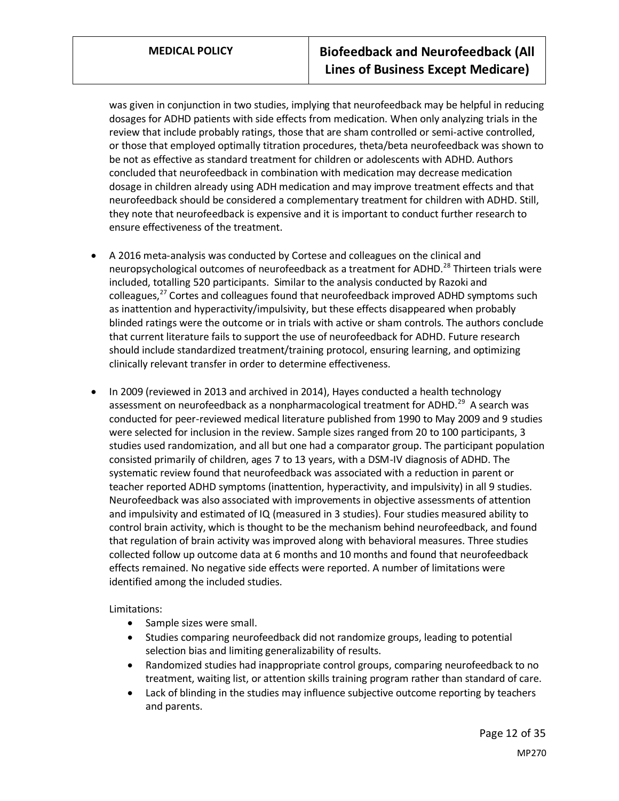was given in conjunction in two studies, implying that neurofeedback may be helpful in reducing dosages for ADHD patients with side effects from medication. When only analyzing trials in the review that include probably ratings, those that are sham controlled or semi-active controlled, or those that employed optimally titration procedures, theta/beta neurofeedback was shown to be not as effective as standard treatment for children or adolescents with ADHD. Authors concluded that neurofeedback in combination with medication may decrease medication dosage in children already using ADH medication and may improve treatment effects and that neurofeedback should be considered a complementary treatment for children with ADHD. Still, they note that neurofeedback is expensive and it is important to conduct further research to ensure effectiveness of the treatment.

- A 2016 meta-analysis was conducted by Cortese and colleagues on the clinical and neuropsychological outcomes of neurofeedback as a treatment for ADHD.<sup>28</sup> Thirteen trials were included, totalling 520 participants. Similar to the analysis conducted by Razoki and colleagues,<sup>27</sup> Cortes and colleagues found that neurofeedback improved ADHD symptoms such as inattention and hyperactivity/impulsivity, but these effects disappeared when probably blinded ratings were the outcome or in trials with active or sham controls. The authors conclude that current literature fails to support the use of neurofeedback for ADHD. Future research should include standardized treatment/training protocol, ensuring learning, and optimizing clinically relevant transfer in order to determine effectiveness.
- In 2009 (reviewed in 2013 and archived in 2014), Hayes conducted a health technology assessment on neurofeedback as a nonpharmacological treatment for ADHD.<sup>29</sup> A search was conducted for peer-reviewed medical literature published from 1990 to May 2009 and 9 studies were selected for inclusion in the review. Sample sizes ranged from 20 to 100 participants, 3 studies used randomization, and all but one had a comparator group. The participant population consisted primarily of children, ages 7 to 13 years, with a DSM-IV diagnosis of ADHD. The systematic review found that neurofeedback was associated with a reduction in parent or teacher reported ADHD symptoms (inattention, hyperactivity, and impulsivity) in all 9 studies. Neurofeedback was also associated with improvements in objective assessments of attention and impulsivity and estimated of IQ (measured in 3 studies). Four studies measured ability to control brain activity, which is thought to be the mechanism behind neurofeedback, and found that regulation of brain activity was improved along with behavioral measures. Three studies collected follow up outcome data at 6 months and 10 months and found that neurofeedback effects remained. No negative side effects were reported. A number of limitations were identified among the included studies.

Limitations:

- Sample sizes were small.
- Studies comparing neurofeedback did not randomize groups, leading to potential selection bias and limiting generalizability of results.
- Randomized studies had inappropriate control groups, comparing neurofeedback to no treatment, waiting list, or attention skills training program rather than standard of care.
- Lack of blinding in the studies may influence subjective outcome reporting by teachers and parents.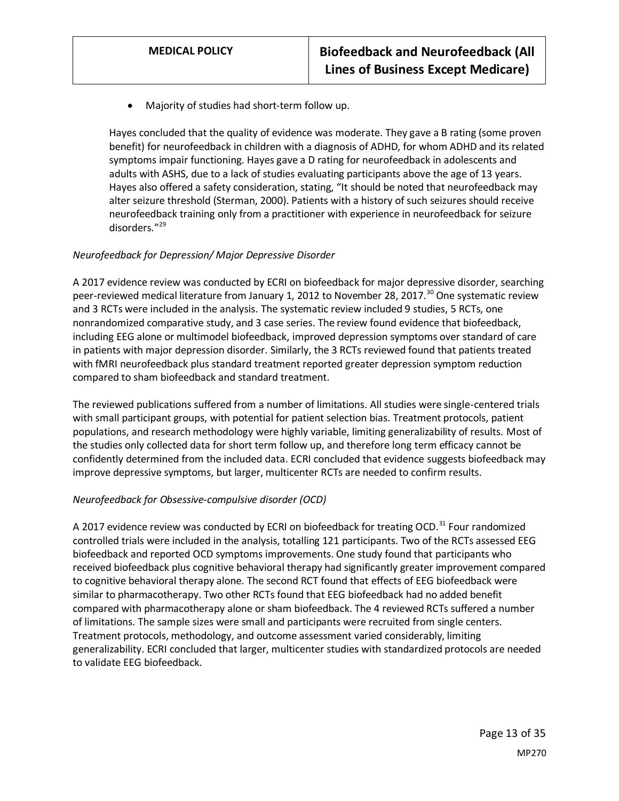• Majority of studies had short-term follow up.

Hayes concluded that the quality of evidence was moderate. They gave a B rating (some proven benefit) for neurofeedback in children with a diagnosis of ADHD, for whom ADHD and its related symptoms impair functioning. Hayes gave a D rating for neurofeedback in adolescents and adults with ASHS, due to a lack of studies evaluating participants above the age of 13 years. Hayes also offered a safety consideration, stating, "It should be noted that neurofeedback may alter seizure threshold (Sterman, 2000). Patients with a history of such seizures should receive neurofeedback training only from a practitioner with experience in neurofeedback for seizure disorders." 29

#### *Neurofeedback for Depression/ Major Depressive Disorder*

A 2017 evidence review was conducted by ECRI on biofeedback for major depressive disorder, searching peer-reviewed medical literature from January 1, 2012 to November 28, 2017.<sup>30</sup> One systematic review and 3 RCTs were included in the analysis. The systematic review included 9 studies, 5 RCTs, one nonrandomized comparative study, and 3 case series. The review found evidence that biofeedback, including EEG alone or multimodel biofeedback, improved depression symptoms over standard of care in patients with major depression disorder. Similarly, the 3 RCTs reviewed found that patients treated with fMRI neurofeedback plus standard treatment reported greater depression symptom reduction compared to sham biofeedback and standard treatment.

The reviewed publications suffered from a number of limitations. All studies were single-centered trials with small participant groups, with potential for patient selection bias. Treatment protocols, patient populations, and research methodology were highly variable, limiting generalizability of results. Most of the studies only collected data for short term follow up, and therefore long term efficacy cannot be confidently determined from the included data. ECRI concluded that evidence suggests biofeedback may improve depressive symptoms, but larger, multicenter RCTs are needed to confirm results.

### *Neurofeedback for Obsessive-compulsive disorder (OCD)*

A 2017 evidence review was conducted by ECRI on biofeedback for treating OCD.<sup>31</sup> Four randomized controlled trials were included in the analysis, totalling 121 participants. Two of the RCTs assessed EEG biofeedback and reported OCD symptoms improvements. One study found that participants who received biofeedback plus cognitive behavioral therapy had significantly greater improvement compared to cognitive behavioral therapy alone. The second RCT found that effects of EEG biofeedback were similar to pharmacotherapy. Two other RCTs found that EEG biofeedback had no added benefit compared with pharmacotherapy alone or sham biofeedback. The 4 reviewed RCTs suffered a number of limitations. The sample sizes were small and participants were recruited from single centers. Treatment protocols, methodology, and outcome assessment varied considerably, limiting generalizability. ECRI concluded that larger, multicenter studies with standardized protocols are needed to validate EEG biofeedback.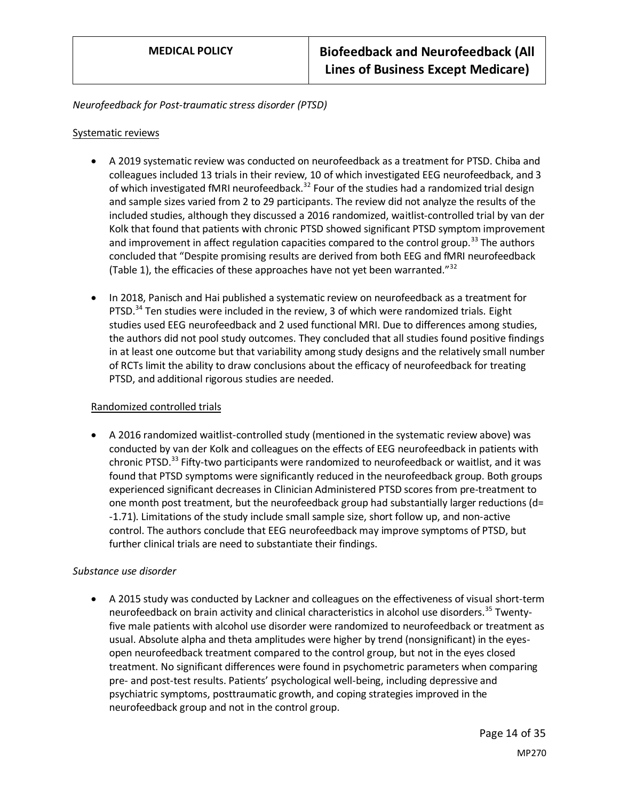#### *Neurofeedback for Post-traumatic stress disorder (PTSD)*

#### Systematic reviews

- A 2019 systematic review was conducted on neurofeedback as a treatment for PTSD. Chiba and colleagues included 13 trials in their review, 10 of which investigated EEG neurofeedback, and 3 of which investigated fMRI neurofeedback.<sup>32</sup> Four of the studies had a randomized trial design and sample sizes varied from 2 to 29 participants. The review did not analyze the results of the included studies, although they discussed a 2016 randomized, waitlist-controlled trial by van der Kolk that found that patients with chronic PTSD showed significant PTSD symptom improvement and improvement in affect regulation capacities compared to the control group.<sup>33</sup> The authors concluded that "Despite promising results are derived from both EEG and fMRI neurofeedback (Table 1), the efficacies of these approaches have not yet been warranted." $32$
- In 2018, Panisch and Hai published a systematic review on neurofeedback as a treatment for PTSD. $34$  Ten studies were included in the review, 3 of which were randomized trials. Eight studies used EEG neurofeedback and 2 used functional MRI. Due to differences among studies, the authors did not pool study outcomes. They concluded that all studies found positive findings in at least one outcome but that variability among study designs and the relatively small number of RCTs limit the ability to draw conclusions about the efficacy of neurofeedback for treating PTSD, and additional rigorous studies are needed.

#### Randomized controlled trials

• A 2016 randomized waitlist-controlled study (mentioned in the systematic review above) was conducted by van der Kolk and colleagues on the effects of EEG neurofeedback in patients with chronic PTSD.<sup>33</sup> Fifty-two participants were randomized to neurofeedback or waitlist, and it was found that PTSD symptoms were significantly reduced in the neurofeedback group. Both groups experienced significant decreases in Clinician Administered PTSD scores from pre-treatment to one month post treatment, but the neurofeedback group had substantially larger reductions (d= -1.71). Limitations of the study include small sample size, short follow up, and non-active control. The authors conclude that EEG neurofeedback may improve symptoms of PTSD, but further clinical trials are need to substantiate their findings.

#### *Substance use disorder*

• A 2015 study was conducted by Lackner and colleagues on the effectiveness of visual short-term neurofeedback on brain activity and clinical characteristics in alcohol use disorders.<sup>35</sup> Twentyfive male patients with alcohol use disorder were randomized to neurofeedback or treatment as usual. Absolute alpha and theta amplitudes were higher by trend (nonsignificant) in the eyesopen neurofeedback treatment compared to the control group, but not in the eyes closed treatment. No significant differences were found in psychometric parameters when comparing pre- and post-test results. Patients' psychological well-being, including depressive and psychiatric symptoms, posttraumatic growth, and coping strategies improved in the neurofeedback group and not in the control group.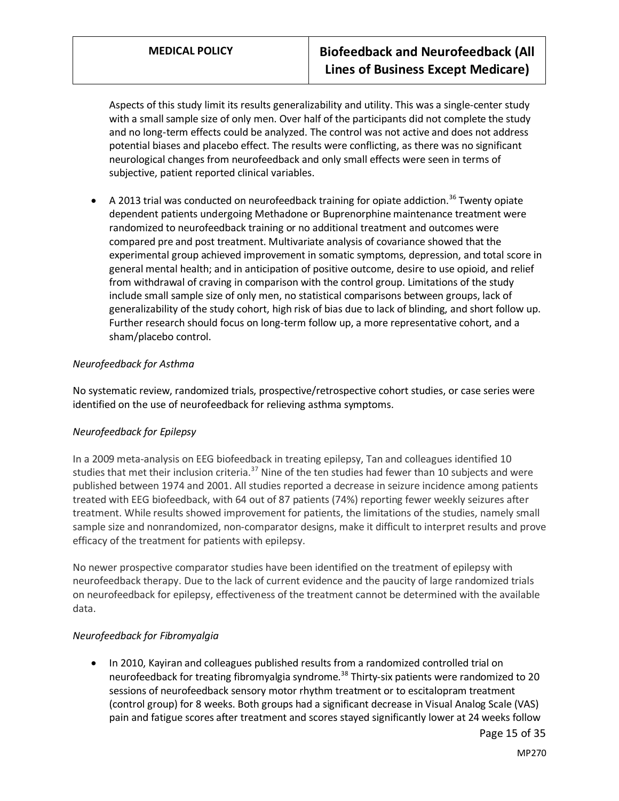Aspects of this study limit its results generalizability and utility. This was a single-center study with a small sample size of only men. Over half of the participants did not complete the study and no long-term effects could be analyzed. The control was not active and does not address potential biases and placebo effect. The results were conflicting, as there was no significant neurological changes from neurofeedback and only small effects were seen in terms of subjective, patient reported clinical variables.

A 2013 trial was conducted on neurofeedback training for opiate addiction.<sup>36</sup> Twenty opiate dependent patients undergoing Methadone or Buprenorphine maintenance treatment were randomized to neurofeedback training or no additional treatment and outcomes were compared pre and post treatment. Multivariate analysis of covariance showed that the experimental group achieved improvement in somatic symptoms, depression, and total score in general mental health; and in anticipation of positive outcome, desire to use opioid, and relief from withdrawal of craving in comparison with the control group. Limitations of the study include small sample size of only men, no statistical comparisons between groups, lack of generalizability of the study cohort, high risk of bias due to lack of blinding, and short follow up. Further research should focus on long-term follow up, a more representative cohort, and a sham/placebo control.

### *Neurofeedback for Asthma*

No systematic review, randomized trials, prospective/retrospective cohort studies, or case series were identified on the use of neurofeedback for relieving asthma symptoms.

### *Neurofeedback for Epilepsy*

In a 2009 meta-analysis on EEG biofeedback in treating epilepsy, Tan and colleagues identified 10 studies that met their inclusion criteria.<sup>37</sup> Nine of the ten studies had fewer than 10 subjects and were published between 1974 and 2001. All studies reported a decrease in seizure incidence among patients treated with EEG biofeedback, with 64 out of 87 patients (74%) reporting fewer weekly seizures after treatment. While results showed improvement for patients, the limitations of the studies, namely small sample size and nonrandomized, non-comparator designs, make it difficult to interpret results and prove efficacy of the treatment for patients with epilepsy.

No newer prospective comparator studies have been identified on the treatment of epilepsy with neurofeedback therapy. Due to the lack of current evidence and the paucity of large randomized trials on neurofeedback for epilepsy, effectiveness of the treatment cannot be determined with the available data.

### *Neurofeedback for Fibromyalgia*

• In 2010, Kayiran and colleagues published results from a randomized controlled trial on neurofeedback for treating fibromyalgia syndrome.<sup>38</sup> Thirty-six patients were randomized to 20 sessions of neurofeedback sensory motor rhythm treatment or to escitalopram treatment (control group) for 8 weeks. Both groups had a significant decrease in Visual Analog Scale (VAS) pain and fatigue scores after treatment and scores stayed significantly lower at 24 weeks follow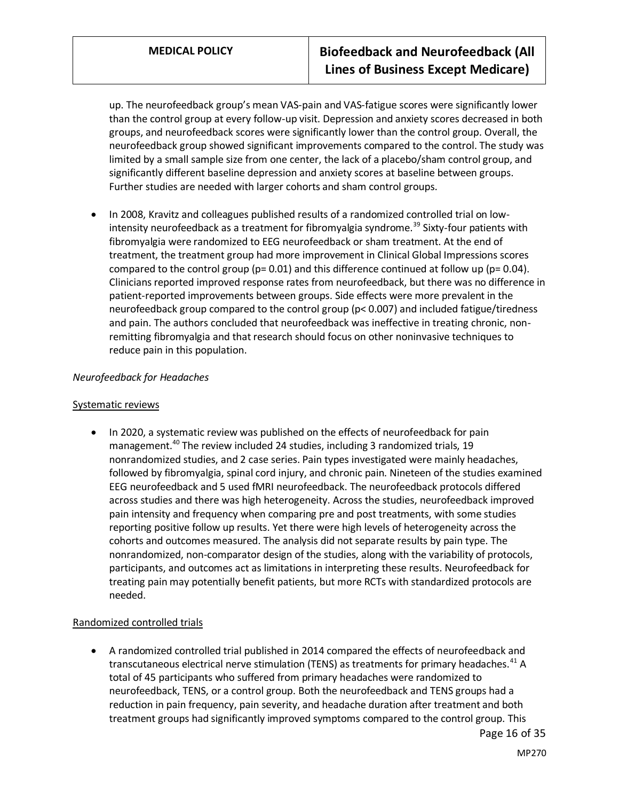up. The neurofeedback group's mean VAS-pain and VAS-fatigue scores were significantly lower than the control group at every follow-up visit. Depression and anxiety scores decreased in both groups, and neurofeedback scores were significantly lower than the control group. Overall, the neurofeedback group showed significant improvements compared to the control. The study was limited by a small sample size from one center, the lack of a placebo/sham control group, and significantly different baseline depression and anxiety scores at baseline between groups. Further studies are needed with larger cohorts and sham control groups.

• In 2008, Kravitz and colleagues published results of a randomized controlled trial on lowintensity neurofeedback as a treatment for fibromyalgia syndrome.<sup>39</sup> Sixty-four patients with fibromyalgia were randomized to EEG neurofeedback or sham treatment. At the end of treatment, the treatment group had more improvement in Clinical Global Impressions scores compared to the control group ( $p= 0.01$ ) and this difference continued at follow up ( $p= 0.04$ ). Clinicians reported improved response rates from neurofeedback, but there was no difference in patient-reported improvements between groups. Side effects were more prevalent in the neurofeedback group compared to the control group (p< 0.007) and included fatigue/tiredness and pain. The authors concluded that neurofeedback was ineffective in treating chronic, nonremitting fibromyalgia and that research should focus on other noninvasive techniques to reduce pain in this population.

### *Neurofeedback for Headaches*

#### Systematic reviews

• In 2020, a systematic review was published on the effects of neurofeedback for pain management.<sup>40</sup> The review included 24 studies, including 3 randomized trials, 19 nonrandomized studies, and 2 case series. Pain types investigated were mainly headaches, followed by fibromyalgia, spinal cord injury, and chronic pain. Nineteen of the studies examined EEG neurofeedback and 5 used fMRI neurofeedback. The neurofeedback protocols differed across studies and there was high heterogeneity. Across the studies, neurofeedback improved pain intensity and frequency when comparing pre and post treatments, with some studies reporting positive follow up results. Yet there were high levels of heterogeneity across the cohorts and outcomes measured. The analysis did not separate results by pain type. The nonrandomized, non-comparator design of the studies, along with the variability of protocols, participants, and outcomes act as limitations in interpreting these results. Neurofeedback for treating pain may potentially benefit patients, but more RCTs with standardized protocols are needed.

#### Randomized controlled trials

• A randomized controlled trial published in 2014 compared the effects of neurofeedback and transcutaneous electrical nerve stimulation (TENS) as treatments for primary headaches.<sup>41</sup> A total of 45 participants who suffered from primary headaches were randomized to neurofeedback, TENS, or a control group. Both the neurofeedback and TENS groups had a reduction in pain frequency, pain severity, and headache duration after treatment and both treatment groups had significantly improved symptoms compared to the control group. This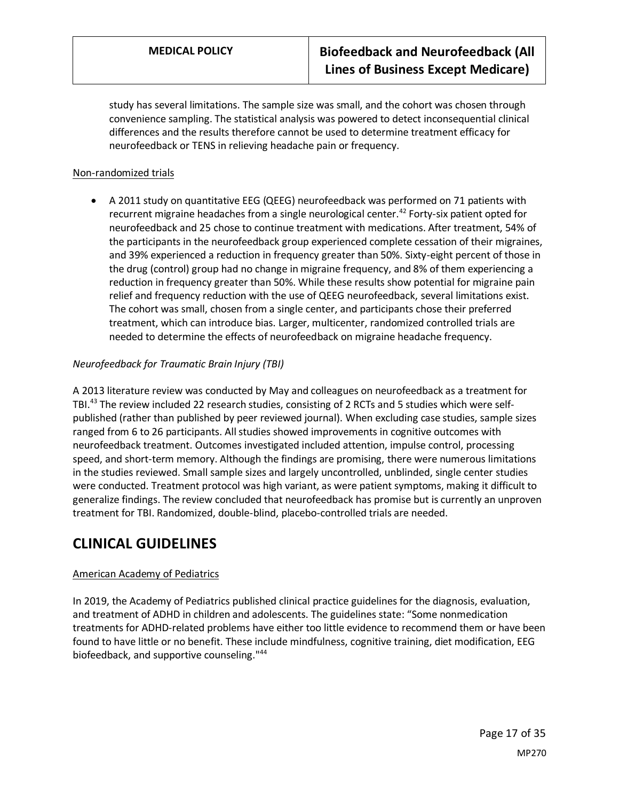study has several limitations. The sample size was small, and the cohort was chosen through convenience sampling. The statistical analysis was powered to detect inconsequential clinical differences and the results therefore cannot be used to determine treatment efficacy for neurofeedback or TENS in relieving headache pain or frequency.

### Non-randomized trials

• A 2011 study on quantitative EEG (QEEG) neurofeedback was performed on 71 patients with recurrent migraine headaches from a single neurological center.<sup>42</sup> Forty-six patient opted for neurofeedback and 25 chose to continue treatment with medications. After treatment, 54% of the participants in the neurofeedback group experienced complete cessation of their migraines, and 39% experienced a reduction in frequency greater than 50%. Sixty-eight percent of those in the drug (control) group had no change in migraine frequency, and 8% of them experiencing a reduction in frequency greater than 50%. While these results show potential for migraine pain relief and frequency reduction with the use of QEEG neurofeedback, several limitations exist. The cohort was small, chosen from a single center, and participants chose their preferred treatment, which can introduce bias. Larger, multicenter, randomized controlled trials are needed to determine the effects of neurofeedback on migraine headache frequency.

### *Neurofeedback for Traumatic Brain Injury (TBI)*

A 2013 literature review was conducted by May and colleagues on neurofeedback as a treatment for TBI.<sup>43</sup> The review included 22 research studies, consisting of 2 RCTs and 5 studies which were selfpublished (rather than published by peer reviewed journal). When excluding case studies, sample sizes ranged from 6 to 26 participants. All studies showed improvements in cognitive outcomes with neurofeedback treatment. Outcomes investigated included attention, impulse control, processing speed, and short-term memory. Although the findings are promising, there were numerous limitations in the studies reviewed. Small sample sizes and largely uncontrolled, unblinded, single center studies were conducted. Treatment protocol was high variant, as were patient symptoms, making it difficult to generalize findings. The review concluded that neurofeedback has promise but is currently an unproven treatment for TBI. Randomized, double-blind, placebo-controlled trials are needed.

## **CLINICAL GUIDELINES**

#### [American Academy of Pediatrics](https://pediatrics.aappublications.org/content/pediatrics/144/4/e20192528.full.pdf)

In 2019, the Academy of Pediatrics published clinical practice guidelines for the diagnosis, evaluation, and treatment of ADHD in children and adolescents. The guidelines state: "Some nonmedication treatments for ADHD-related problems have either too little evidence to recommend them or have been found to have little or no benefit. These include mindfulness, cognitive training, diet modification, EEG biofeedback, and supportive counseling."<sup>44</sup>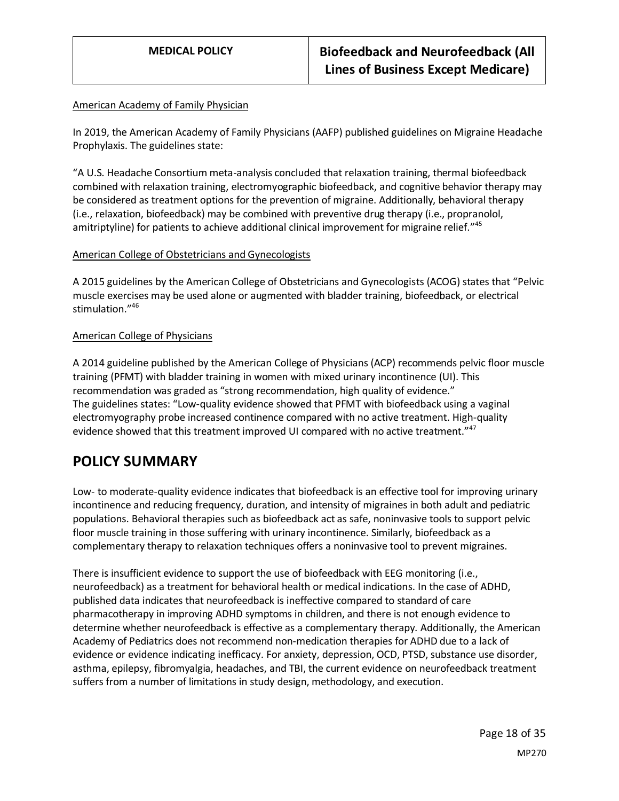#### American Academy of Family Physician

In 2019, the American Academy of Family Physicians (AAFP) published guidelines on Migraine Headache Prophylaxis. The guidelines state:

"A U.S. Headache Consortium meta-analysis concluded that relaxation training, thermal biofeedback combined with relaxation training, electromyographic biofeedback, and cognitive behavior therapy may be considered as treatment options for the prevention of migraine. Additionally, behavioral therapy (i.e., relaxation, biofeedback) may be combined with preventive drug therapy (i.e., propranolol, amitriptyline) for patients to achieve additional clinical improvement for migraine relief.<sup>"45</sup>

#### American College of Obstetricians and Gynecologists

A 2015 guidelines by the American College of Obstetricians and Gynecologists (ACOG) states that "Pelvic muscle exercises may be used alone or augmented with bladder training, biofeedback, or electrical stimulation." 46

#### American College of Physicians

A 2014 guideline published by the American College of Physicians (ACP) recommends pelvic floor muscle training (PFMT) with bladder training in women with mixed urinary incontinence (UI). This recommendation was graded as "strong recommendation, high quality of evidence." The guidelines states: "Low-quality evidence showed that PFMT with biofeedback using a vaginal electromyography probe increased continence compared with no active treatment. High-quality evidence showed that this treatment improved UI compared with no active treatment."<sup>47</sup>

## <span id="page-17-0"></span>**POLICY SUMMARY**

Low- to moderate-quality evidence indicates that biofeedback is an effective tool for improving urinary incontinence and reducing frequency, duration, and intensity of migraines in both adult and pediatric populations. Behavioral therapies such as biofeedback act as safe, noninvasive tools to support pelvic floor muscle training in those suffering with urinary incontinence. Similarly, biofeedback as a complementary therapy to relaxation techniques offers a noninvasive tool to prevent migraines.

There is insufficient evidence to support the use of biofeedback with EEG monitoring (i.e., neurofeedback) as a treatment for behavioral health or medical indications. In the case of ADHD, published data indicates that neurofeedback is ineffective compared to standard of care pharmacotherapy in improving ADHD symptoms in children, and there is not enough evidence to determine whether neurofeedback is effective as a complementary therapy. Additionally, the American Academy of Pediatrics does not recommend non-medication therapies for ADHD due to a lack of evidence or evidence indicating inefficacy. For anxiety, depression, OCD, PTSD, substance use disorder, asthma, epilepsy, fibromyalgia, headaches, and TBI, the current evidence on neurofeedback treatment suffers from a number of limitations in study design, methodology, and execution.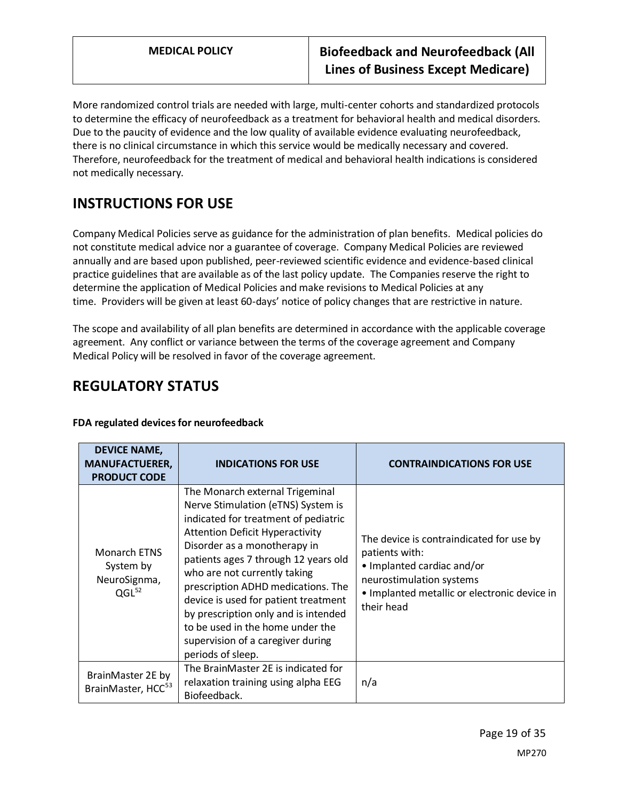More randomized control trials are needed with large, multi-center cohorts and standardized protocols to determine the efficacy of neurofeedback as a treatment for behavioral health and medical disorders. Due to the paucity of evidence and the low quality of available evidence evaluating neurofeedback, there is no clinical circumstance in which this service would be medically necessary and covered. Therefore, neurofeedback for the treatment of medical and behavioral health indications is considered not medically necessary.

# **INSTRUCTIONS FOR USE**

Company Medical Policies serve as guidance for the administration of plan benefits. Medical policies do not constitute medical advice nor a guarantee of coverage. Company Medical Policies are reviewed annually and are based upon published, peer-reviewed scientific evidence and evidence-based clinical practice guidelines that are available as of the last policy update. The Companies reserve the right to determine the application of Medical Policies and make revisions to Medical Policies at any time. Providers will be given at least 60-days' notice of policy changes that are restrictive in nature.

The scope and availability of all plan benefits are determined in accordance with the applicable coverage agreement. Any conflict or variance between the terms of the coverage agreement and Company Medical Policy will be resolved in favor of the coverage agreement.

## **REGULATORY STATUS**

| <b>DEVICE NAME,</b><br><b>MANUFACTUERER,</b><br><b>PRODUCT CODE</b> | <b>INDICATIONS FOR USE</b>                                                                                                                                                                                                                                                                                                                                                                                                                                                          | <b>CONTRAINDICATIONS FOR USE</b>                                                                                                                                                   |
|---------------------------------------------------------------------|-------------------------------------------------------------------------------------------------------------------------------------------------------------------------------------------------------------------------------------------------------------------------------------------------------------------------------------------------------------------------------------------------------------------------------------------------------------------------------------|------------------------------------------------------------------------------------------------------------------------------------------------------------------------------------|
| <b>Monarch ETNS</b><br>System by<br>NeuroSignma,<br>$QGL^{52}$      | The Monarch external Trigeminal<br>Nerve Stimulation (eTNS) System is<br>indicated for treatment of pediatric<br><b>Attention Deficit Hyperactivity</b><br>Disorder as a monotherapy in<br>patients ages 7 through 12 years old<br>who are not currently taking<br>prescription ADHD medications. The<br>device is used for patient treatment<br>by prescription only and is intended<br>to be used in the home under the<br>supervision of a caregiver during<br>periods of sleep. | The device is contraindicated for use by<br>patients with:<br>• Implanted cardiac and/or<br>neurostimulation systems<br>• Implanted metallic or electronic device in<br>their head |
| BrainMaster 2E by<br>BrainMaster, HCC <sup>53</sup>                 | The BrainMaster 2E is indicated for<br>relaxation training using alpha EEG<br>Biofeedback.                                                                                                                                                                                                                                                                                                                                                                                          | n/a                                                                                                                                                                                |

### **FDA regulated devices for neurofeedback**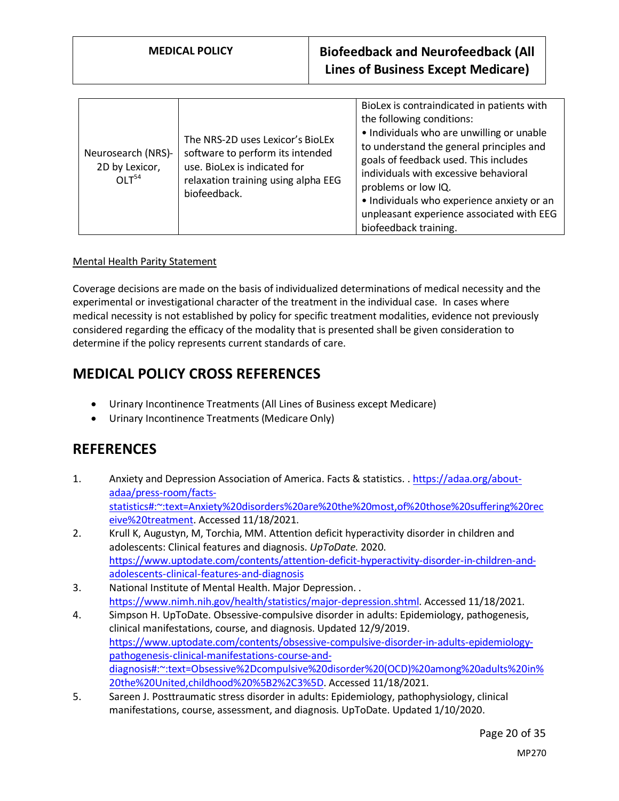| Neurosearch (NRS)-<br>2D by Lexicor,<br>OLT <sup>54</sup> | The NRS-2D uses Lexicor's BioLEx<br>software to perform its intended<br>use. BioLex is indicated for<br>relaxation training using alpha EEG<br>biofeedback. | BioLex is contraindicated in patients with<br>the following conditions:<br>• Individuals who are unwilling or unable<br>to understand the general principles and<br>goals of feedback used. This includes<br>individuals with excessive behavioral<br>problems or low IQ.<br>· Individuals who experience anxiety or an<br>unpleasant experience associated with EEG<br>biofeedback training. |
|-----------------------------------------------------------|-------------------------------------------------------------------------------------------------------------------------------------------------------------|-----------------------------------------------------------------------------------------------------------------------------------------------------------------------------------------------------------------------------------------------------------------------------------------------------------------------------------------------------------------------------------------------|
|-----------------------------------------------------------|-------------------------------------------------------------------------------------------------------------------------------------------------------------|-----------------------------------------------------------------------------------------------------------------------------------------------------------------------------------------------------------------------------------------------------------------------------------------------------------------------------------------------------------------------------------------------|

### Mental Health Parity Statement

Coverage decisions are made on the basis of individualized determinations of medical necessity and the experimental or investigational character of the treatment in the individual case. In cases where medical necessity is not established by policy for specific treatment modalities, evidence not previously considered regarding the efficacy of the modality that is presented shall be given consideration to determine if the policy represents current standards of care.

## **MEDICAL POLICY CROSS REFERENCES**

- Urinary Incontinence Treatments (All Lines of Business except Medicare)
- Urinary Incontinence Treatments (Medicare Only)

## **REFERENCES**

- 1. Anxiety and Depression Association of America. Facts & statistics. . [https://adaa.org/about](https://adaa.org/about-adaa/press-room/facts-statistics#:~:text=Anxiety%20disorders%20are%20the%20most,of%20those%20suffering%20receive%20treatment)[adaa/press-room/facts](https://adaa.org/about-adaa/press-room/facts-statistics#:~:text=Anxiety%20disorders%20are%20the%20most,of%20those%20suffering%20receive%20treatment)[statistics#:~:text=Anxiety%20disorders%20are%20the%20most,of%20those%20suffering%20rec](https://adaa.org/about-adaa/press-room/facts-statistics#:~:text=Anxiety%20disorders%20are%20the%20most,of%20those%20suffering%20receive%20treatment) [eive%20treatment.](https://adaa.org/about-adaa/press-room/facts-statistics#:~:text=Anxiety%20disorders%20are%20the%20most,of%20those%20suffering%20receive%20treatment) Accessed 11/18/2021.
- 2. Krull K, Augustyn, M, Torchia, MM. Attention deficit hyperactivity disorder in children and adolescents: Clinical features and diagnosis. *UpToDate.* 2020. [https://www.uptodate.com/contents/attention-deficit-hyperactivity-disorder-in-children-and](https://www.uptodate.com/contents/attention-deficit-hyperactivity-disorder-in-children-and-adolescents-clinical-features-and-diagnosis)[adolescents-clinical-features-and-diagnosis](https://www.uptodate.com/contents/attention-deficit-hyperactivity-disorder-in-children-and-adolescents-clinical-features-and-diagnosis)
- 3. National Institute of Mental Health. Major Depression. . [https://www.nimh.nih.gov/health/statistics/major-depression.shtml.](https://www.nimh.nih.gov/health/statistics/major-depression.shtml) Accessed 11/18/2021.
- 4. Simpson H. UpToDate. Obsessive-compulsive disorder in adults: Epidemiology, pathogenesis, clinical manifestations, course, and diagnosis. Updated 12/9/2019. [https://www.uptodate.com/contents/obsessive-compulsive-disorder-in-adults-epidemiology](https://www.uptodate.com/contents/obsessive-compulsive-disorder-in-adults-epidemiology-pathogenesis-clinical-manifestations-course-and-diagnosis#:~:text=Obsessive%2Dcompulsive%20disorder%20(OCD)%20among%20adults%20in%20the%20United,childhood%20%5B2%2C3%5D)[pathogenesis-clinical-manifestations-course-and](https://www.uptodate.com/contents/obsessive-compulsive-disorder-in-adults-epidemiology-pathogenesis-clinical-manifestations-course-and-diagnosis#:~:text=Obsessive%2Dcompulsive%20disorder%20(OCD)%20among%20adults%20in%20the%20United,childhood%20%5B2%2C3%5D)[diagnosis#:~:text=Obsessive%2Dcompulsive%20disorder%20\(OCD\)%20among%20adults%20in%](https://www.uptodate.com/contents/obsessive-compulsive-disorder-in-adults-epidemiology-pathogenesis-clinical-manifestations-course-and-diagnosis#:~:text=Obsessive%2Dcompulsive%20disorder%20(OCD)%20among%20adults%20in%20the%20United,childhood%20%5B2%2C3%5D) [20the%20United,childhood%20%5B2%2C3%5D.](https://www.uptodate.com/contents/obsessive-compulsive-disorder-in-adults-epidemiology-pathogenesis-clinical-manifestations-course-and-diagnosis#:~:text=Obsessive%2Dcompulsive%20disorder%20(OCD)%20among%20adults%20in%20the%20United,childhood%20%5B2%2C3%5D) Accessed 11/18/2021.
- 5. Sareen J. Posttraumatic stress disorder in adults: Epidemiology, pathophysiology, clinical manifestations, course, assessment, and diagnosis. UpToDate. Updated 1/10/2020.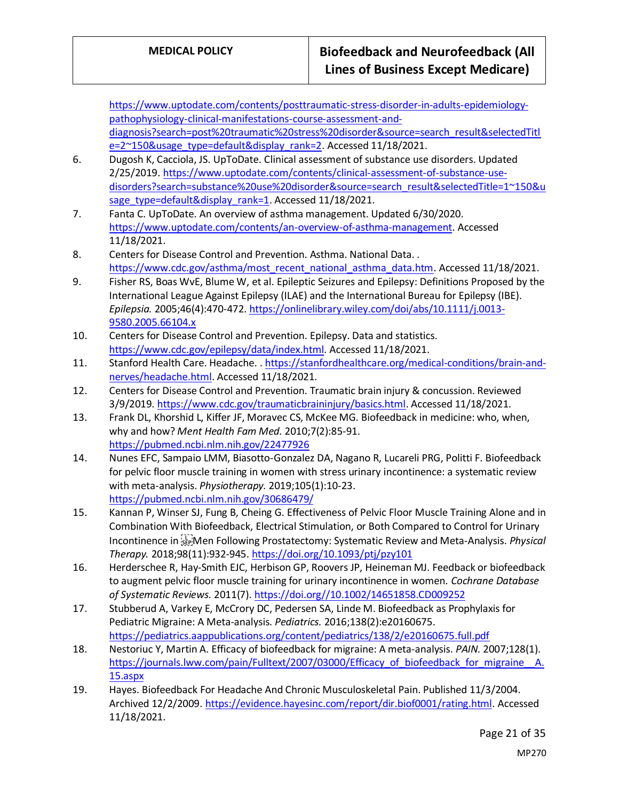[https://www.uptodate.com/contents/posttraumatic-stress-disorder-in-adults-epidemiology](https://www.uptodate.com/contents/posttraumatic-stress-disorder-in-adults-epidemiology-pathophysiology-clinical-manifestations-course-assessment-and-diagnosis?search=post%20traumatic%20stress%20disorder&source=search_result&selectedTitle=2~150&usage_type=default&display_rank=2)[pathophysiology-clinical-manifestations-course-assessment-and](https://www.uptodate.com/contents/posttraumatic-stress-disorder-in-adults-epidemiology-pathophysiology-clinical-manifestations-course-assessment-and-diagnosis?search=post%20traumatic%20stress%20disorder&source=search_result&selectedTitle=2~150&usage_type=default&display_rank=2)[diagnosis?search=post%20traumatic%20stress%20disorder&source=search\\_result&selectedTitl](https://www.uptodate.com/contents/posttraumatic-stress-disorder-in-adults-epidemiology-pathophysiology-clinical-manifestations-course-assessment-and-diagnosis?search=post%20traumatic%20stress%20disorder&source=search_result&selectedTitle=2~150&usage_type=default&display_rank=2) [e=2~150&usage\\_type=default&display\\_rank=2.](https://www.uptodate.com/contents/posttraumatic-stress-disorder-in-adults-epidemiology-pathophysiology-clinical-manifestations-course-assessment-and-diagnosis?search=post%20traumatic%20stress%20disorder&source=search_result&selectedTitle=2~150&usage_type=default&display_rank=2) Accessed 11/18/2021.

- 6. Dugosh K, Cacciola, JS. UpToDate. Clinical assessment of substance use disorders. Updated 2/25/2019. [https://www.uptodate.com/contents/clinical-assessment-of-substance-use](https://www.uptodate.com/contents/clinical-assessment-of-substance-use-disorders?search=substance%20use%20disorder&source=search_result&selectedTitle=1~150&usage_type=default&display_rank=1)[disorders?search=substance%20use%20disorder&source=search\\_result&selectedTitle=1~150&u](https://www.uptodate.com/contents/clinical-assessment-of-substance-use-disorders?search=substance%20use%20disorder&source=search_result&selectedTitle=1~150&usage_type=default&display_rank=1) [sage\\_type=default&display\\_rank=1.](https://www.uptodate.com/contents/clinical-assessment-of-substance-use-disorders?search=substance%20use%20disorder&source=search_result&selectedTitle=1~150&usage_type=default&display_rank=1) Accessed 11/18/2021.
- 7. Fanta C. UpToDate. An overview of asthma management. Updated 6/30/2020. [https://www.uptodate.com/contents/an-overview-of-asthma-management.](https://www.uptodate.com/contents/an-overview-of-asthma-management) Accessed 11/18/2021.
- 8. Centers for Disease Control and Prevention. Asthma. National Data. . [https://www.cdc.gov/asthma/most\\_recent\\_national\\_asthma\\_data.htm.](https://www.cdc.gov/asthma/most_recent_national_asthma_data.htm) Accessed 11/18/2021.
- 9. Fisher RS, Boas WvE, Blume W, et al. Epileptic Seizures and Epilepsy: Definitions Proposed by the International League Against Epilepsy (ILAE) and the International Bureau for Epilepsy (IBE). *Epilepsia.* 2005;46(4):470-472[. https://onlinelibrary.wiley.com/doi/abs/10.1111/j.0013-](https://onlinelibrary.wiley.com/doi/abs/10.1111/j.0013-9580.2005.66104.x) [9580.2005.66104.x](https://onlinelibrary.wiley.com/doi/abs/10.1111/j.0013-9580.2005.66104.x)
- 10. Centers for Disease Control and Prevention. Epilepsy. Data and statistics. [https://www.cdc.gov/epilepsy/data/index.html.](https://www.cdc.gov/epilepsy/data/index.html) Accessed 11/18/2021.
- 11. Stanford Health Care. Headache. . [https://stanfordhealthcare.org/medical-conditions/brain-and](https://stanfordhealthcare.org/medical-conditions/brain-and-nerves/headache.html)[nerves/headache.html.](https://stanfordhealthcare.org/medical-conditions/brain-and-nerves/headache.html) Accessed 11/18/2021.
- 12. Centers for Disease Control and Prevention. Traumatic brain injury & concussion. Reviewed 3/9/2019. [https://www.cdc.gov/traumaticbraininjury/basics.html.](https://www.cdc.gov/traumaticbraininjury/basics.html) Accessed 11/18/2021.
- 13. Frank DL, Khorshid L, Kiffer JF, Moravec CS, McKee MG. Biofeedback in medicine: who, when, why and how? *Ment Health Fam Med.* 2010;7(2):85-91. <https://pubmed.ncbi.nlm.nih.gov/22477926>
- 14. Nunes EFC, Sampaio LMM, Biasotto-Gonzalez DA, Nagano R, Lucareli PRG, Politti F. Biofeedback for pelvic floor muscle training in women with stress urinary incontinence: a systematic review with meta-analysis. *Physiotherapy.* 2019;105(1):10-23. <https://pubmed.ncbi.nlm.nih.gov/30686479/>
- 15. Kannan P, Winser SJ, Fung B, Cheing G. Effectiveness of Pelvic Floor Muscle Training Alone and in Combination With Biofeedback, Electrical Stimulation, or Both Compared to Control for Urinary Incontinence in Men Following Prostatectomy: Systematic Review and Meta-Analysis. *Physical Therapy.* 2018;98(11):932-945.<https://doi.org/10.1093/ptj/pzy101>
- 16. Herderschee R, Hay‐Smith EJC, Herbison GP, Roovers JP, Heineman MJ. Feedback or biofeedback to augment pelvic floor muscle training for urinary incontinence in women. *Cochrane Database of Systematic Reviews.* 2011(7)[. https://doi.org//10.1002/14651858.CD009252](https://doi.org/10.1002/14651858.CD009252)
- 17. Stubberud A, Varkey E, McCrory DC, Pedersen SA, Linde M. Biofeedback as Prophylaxis for Pediatric Migraine: A Meta-analysis. *Pediatrics.* 2016;138(2):e20160675. <https://pediatrics.aappublications.org/content/pediatrics/138/2/e20160675.full.pdf>
- 18. Nestoriuc Y, Martin A. Efficacy of biofeedback for migraine: A meta-analysis. *PAIN.* 2007;128(1). [https://journals.lww.com/pain/Fulltext/2007/03000/Efficacy\\_of\\_biofeedback\\_for\\_migraine\\_\\_A.](https://journals.lww.com/pain/Fulltext/2007/03000/Efficacy_of_biofeedback_for_migraine__A.15.aspx) [15.aspx](https://journals.lww.com/pain/Fulltext/2007/03000/Efficacy_of_biofeedback_for_migraine__A.15.aspx)
- 19. Hayes. Biofeedback For Headache And Chronic Musculoskeletal Pain. Published 11/3/2004. Archived 12/2/2009[. https://evidence.hayesinc.com/report/dir.biof0001/rating.html.](https://evidence.hayesinc.com/report/dir.biof0001/rating.html) Accessed 11/18/2021.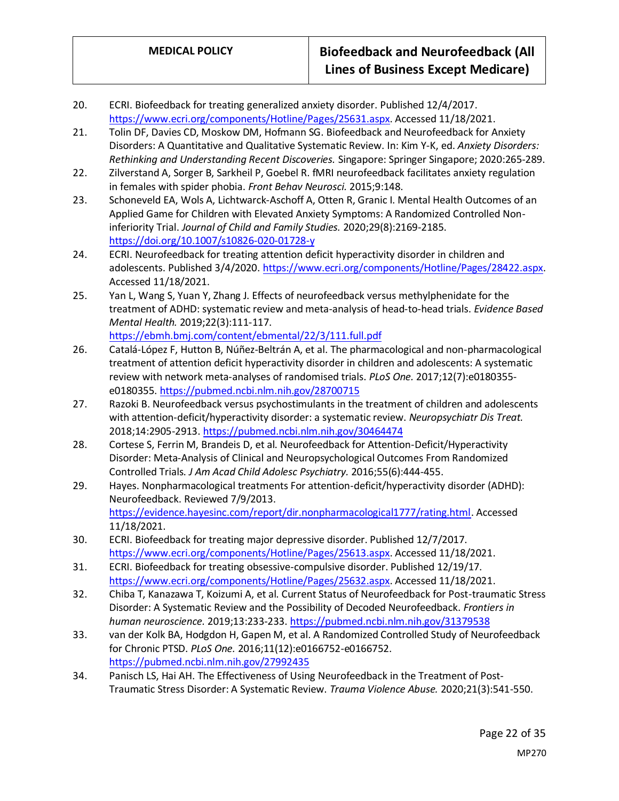- 20. ECRI. Biofeedback for treating generalized anxiety disorder. Published 12/4/2017. [https://www.ecri.org/components/Hotline/Pages/25631.aspx.](https://www.ecri.org/components/Hotline/Pages/25631.aspx) Accessed 11/18/2021.
- 21. Tolin DF, Davies CD, Moskow DM, Hofmann SG. Biofeedback and Neurofeedback for Anxiety Disorders: A Quantitative and Qualitative Systematic Review. In: Kim Y-K, ed. *Anxiety Disorders: Rethinking and Understanding Recent Discoveries.* Singapore: Springer Singapore; 2020:265-289.
- 22. Zilverstand A, Sorger B, Sarkheil P, Goebel R. fMRI neurofeedback facilitates anxiety regulation in females with spider phobia. *Front Behav Neurosci.* 2015;9:148.
- 23. Schoneveld EA, Wols A, Lichtwarck-Aschoff A, Otten R, Granic I. Mental Health Outcomes of an Applied Game for Children with Elevated Anxiety Symptoms: A Randomized Controlled Noninferiority Trial. *Journal of Child and Family Studies.* 2020;29(8):2169-2185. <https://doi.org/10.1007/s10826-020-01728-y>
- 24. ECRI. Neurofeedback for treating attention deficit hyperactivity disorder in children and adolescents. Published 3/4/2020[. https://www.ecri.org/components/Hotline/Pages/28422.aspx.](https://www.ecri.org/components/Hotline/Pages/28422.aspx) Accessed 11/18/2021.
- 25. Yan L, Wang S, Yuan Y, Zhang J. Effects of neurofeedback versus methylphenidate for the treatment of ADHD: systematic review and meta-analysis of head-to-head trials. *Evidence Based Mental Health.* 2019;22(3):111-117. <https://ebmh.bmj.com/content/ebmental/22/3/111.full.pdf>
- 26. Catalá-López F, Hutton B, Núñez-Beltrán A, et al. The pharmacological and non-pharmacological treatment of attention deficit hyperactivity disorder in children and adolescents: A systematic review with network meta-analyses of randomised trials. *PLoS One.* 2017;12(7):e0180355 e0180355.<https://pubmed.ncbi.nlm.nih.gov/28700715>
- 27. Razoki B. Neurofeedback versus psychostimulants in the treatment of children and adolescents with attention-deficit/hyperactivity disorder: a systematic review. *Neuropsychiatr Dis Treat.*  2018;14:2905-2913[. https://pubmed.ncbi.nlm.nih.gov/30464474](https://pubmed.ncbi.nlm.nih.gov/30464474)
- 28. Cortese S, Ferrin M, Brandeis D, et al. Neurofeedback for Attention-Deficit/Hyperactivity Disorder: Meta-Analysis of Clinical and Neuropsychological Outcomes From Randomized Controlled Trials. *J Am Acad Child Adolesc Psychiatry.* 2016;55(6):444-455.
- 29. Hayes. Nonpharmacological treatments For attention-deficit/hyperactivity disorder (ADHD): Neurofeedback. Reviewed 7/9/2013. [https://evidence.hayesinc.com/report/dir.nonpharmacological1777/rating.html.](https://evidence.hayesinc.com/report/dir.nonpharmacological1777/rating.html) Accessed 11/18/2021.
- 30. ECRI. Biofeedback for treating major depressive disorder. Published 12/7/2017. [https://www.ecri.org/components/Hotline/Pages/25613.aspx.](https://www.ecri.org/components/Hotline/Pages/25613.aspx) Accessed 11/18/2021.
- 31. ECRI. Biofeedback for treating obsessive-compulsive disorder. Published 12/19/17. [https://www.ecri.org/components/Hotline/Pages/25632.aspx.](https://www.ecri.org/components/Hotline/Pages/25632.aspx) Accessed 11/18/2021.
- 32. Chiba T, Kanazawa T, Koizumi A, et al. Current Status of Neurofeedback for Post-traumatic Stress Disorder: A Systematic Review and the Possibility of Decoded Neurofeedback. *Frontiers in human neuroscience.* 2019;13:233-233[. https://pubmed.ncbi.nlm.nih.gov/31379538](https://pubmed.ncbi.nlm.nih.gov/31379538)
- 33. van der Kolk BA, Hodgdon H, Gapen M, et al. A Randomized Controlled Study of Neurofeedback for Chronic PTSD. *PLoS One.* 2016;11(12):e0166752-e0166752. <https://pubmed.ncbi.nlm.nih.gov/27992435>
- 34. Panisch LS, Hai AH. The Effectiveness of Using Neurofeedback in the Treatment of Post-Traumatic Stress Disorder: A Systematic Review. *Trauma Violence Abuse.* 2020;21(3):541-550.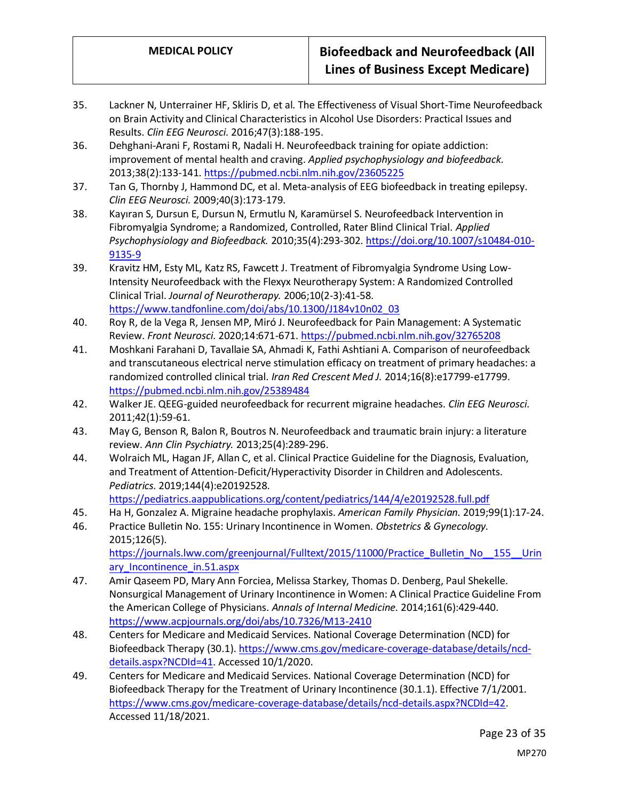- 35. Lackner N, Unterrainer HF, Skliris D, et al. The Effectiveness of Visual Short-Time Neurofeedback on Brain Activity and Clinical Characteristics in Alcohol Use Disorders: Practical Issues and Results. *Clin EEG Neurosci.* 2016;47(3):188-195.
- 36. Dehghani-Arani F, Rostami R, Nadali H. Neurofeedback training for opiate addiction: improvement of mental health and craving. *Applied psychophysiology and biofeedback.*  2013;38(2):133-141[. https://pubmed.ncbi.nlm.nih.gov/23605225](https://pubmed.ncbi.nlm.nih.gov/23605225)
- 37. Tan G, Thornby J, Hammond DC, et al. Meta-analysis of EEG biofeedback in treating epilepsy. *Clin EEG Neurosci.* 2009;40(3):173-179.
- 38. Kayıran S, Dursun E, Dursun N, Ermutlu N, Karamürsel S. Neurofeedback Intervention in Fibromyalgia Syndrome; a Randomized, Controlled, Rater Blind Clinical Trial. *Applied Psychophysiology and Biofeedback.* 2010;35(4):293-302[. https://doi.org/10.1007/s10484-010-](https://doi.org/10.1007/s10484-010-9135-9) [9135-9](https://doi.org/10.1007/s10484-010-9135-9)
- 39. Kravitz HM, Esty ML, Katz RS, Fawcett J. Treatment of Fibromyalgia Syndrome Using Low-Intensity Neurofeedback with the Flexyx Neurotherapy System: A Randomized Controlled Clinical Trial. *Journal of Neurotherapy.* 2006;10(2-3):41-58. [https://www.tandfonline.com/doi/abs/10.1300/J184v10n02\\_03](https://www.tandfonline.com/doi/abs/10.1300/J184v10n02_03)
- 40. Roy R, de la Vega R, Jensen MP, Miró J. Neurofeedback for Pain Management: A Systematic Review. *Front Neurosci.* 2020;14:671-671[. https://pubmed.ncbi.nlm.nih.gov/32765208](https://pubmed.ncbi.nlm.nih.gov/32765208)
- 41. Moshkani Farahani D, Tavallaie SA, Ahmadi K, Fathi Ashtiani A. Comparison of neurofeedback and transcutaneous electrical nerve stimulation efficacy on treatment of primary headaches: a randomized controlled clinical trial. *Iran Red Crescent Med J.* 2014;16(8):e17799-e17799. <https://pubmed.ncbi.nlm.nih.gov/25389484>
- 42. Walker JE. QEEG-guided neurofeedback for recurrent migraine headaches. *Clin EEG Neurosci.*  2011;42(1):59-61.
- 43. May G, Benson R, Balon R, Boutros N. Neurofeedback and traumatic brain injury: a literature review. *Ann Clin Psychiatry.* 2013;25(4):289-296.
- 44. Wolraich ML, Hagan JF, Allan C, et al. Clinical Practice Guideline for the Diagnosis, Evaluation, and Treatment of Attention-Deficit/Hyperactivity Disorder in Children and Adolescents. *Pediatrics.* 2019;144(4):e20192528. <https://pediatrics.aappublications.org/content/pediatrics/144/4/e20192528.full.pdf>
- 45. Ha H, Gonzalez A. Migraine headache prophylaxis. *American Family Physician.* 2019;99(1):17-24.
- 46. Practice Bulletin No. 155: Urinary Incontinence in Women. *Obstetrics & Gynecology.*  2015;126(5). [https://journals.lww.com/greenjournal/Fulltext/2015/11000/Practice\\_Bulletin\\_No\\_\\_155\\_\\_Urin](https://journals.lww.com/greenjournal/Fulltext/2015/11000/Practice_Bulletin_No__155__Urinary_Incontinence_in.51.aspx) ary Incontinence in.51.aspx
- 47. Amir Qaseem PD, Mary Ann Forciea, Melissa Starkey, Thomas D. Denberg, Paul Shekelle. Nonsurgical Management of Urinary Incontinence in Women: A Clinical Practice Guideline From the American College of Physicians. *Annals of Internal Medicine.* 2014;161(6):429-440. <https://www.acpjournals.org/doi/abs/10.7326/M13-2410>
- 48. Centers for Medicare and Medicaid Services. National Coverage Determination (NCD) for Biofeedback Therapy (30.1). [https://www.cms.gov/medicare-coverage-database/details/ncd](https://www.cms.gov/medicare-coverage-database/details/ncd-details.aspx?NCDId=41)[details.aspx?NCDId=41.](https://www.cms.gov/medicare-coverage-database/details/ncd-details.aspx?NCDId=41) Accessed 10/1/2020.
- 49. Centers for Medicare and Medicaid Services. National Coverage Determination (NCD) for Biofeedback Therapy for the Treatment of Urinary Incontinence (30.1.1). Effective 7/1/2001. [https://www.cms.gov/medicare-coverage-database/details/ncd-details.aspx?NCDId=42.](https://www.cms.gov/medicare-coverage-database/details/ncd-details.aspx?NCDId=42) Accessed 11/18/2021.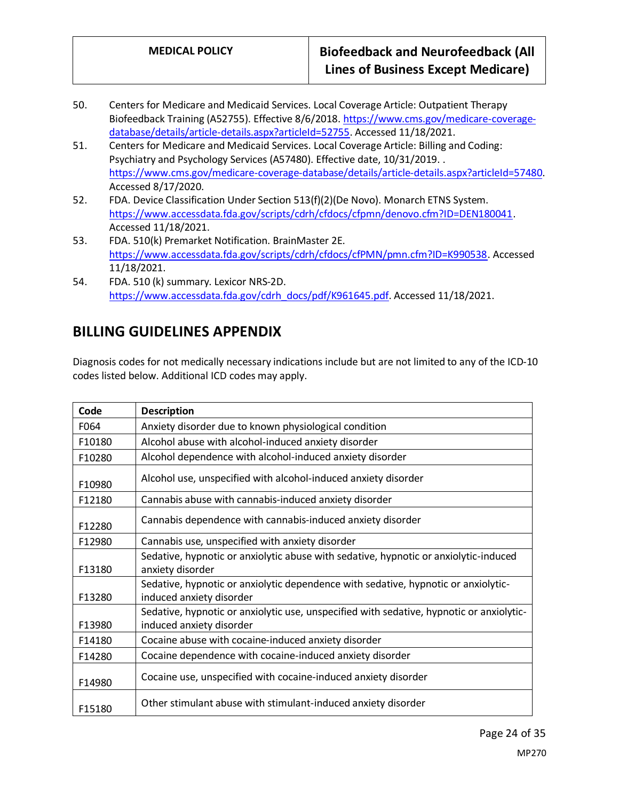- 50. Centers for Medicare and Medicaid Services. Local Coverage Article: Outpatient Therapy Biofeedback Training (A52755). Effective 8/6/2018[. https://www.cms.gov/medicare-coverage](https://www.cms.gov/medicare-coverage-database/details/article-details.aspx?articleId=52755)[database/details/article-details.aspx?articleId=52755.](https://www.cms.gov/medicare-coverage-database/details/article-details.aspx?articleId=52755) Accessed 11/18/2021.
- 51. Centers for Medicare and Medicaid Services. Local Coverage Article: Billing and Coding: Psychiatry and Psychology Services (A57480). Effective date, 10/31/2019. . [https://www.cms.gov/medicare-coverage-database/details/article-details.aspx?articleId=57480.](https://www.cms.gov/medicare-coverage-database/details/article-details.aspx?articleId=57480) Accessed 8/17/2020.
- 52. FDA. Device Classification Under Section 513(f)(2)(De Novo). Monarch ETNS System. [https://www.accessdata.fda.gov/scripts/cdrh/cfdocs/cfpmn/denovo.cfm?ID=DEN180041.](https://www.accessdata.fda.gov/scripts/cdrh/cfdocs/cfpmn/denovo.cfm?ID=DEN180041) Accessed 11/18/2021.
- 53. FDA. 510(k) Premarket Notification. BrainMaster 2E. [https://www.accessdata.fda.gov/scripts/cdrh/cfdocs/cfPMN/pmn.cfm?ID=K990538.](https://www.accessdata.fda.gov/scripts/cdrh/cfdocs/cfPMN/pmn.cfm?ID=K990538) Accessed 11/18/2021.
- 54. FDA. 510 (k) summary. Lexicor NRS-2D. [https://www.accessdata.fda.gov/cdrh\\_docs/pdf/K961645.pdf.](https://www.accessdata.fda.gov/cdrh_docs/pdf/K961645.pdf) Accessed 11/18/2021.

# <span id="page-23-0"></span>**BILLING GUIDELINES APPENDIX**

Diagnosis codes for not medically necessary indications include but are not limited to any of the ICD-10 codes listed below. Additional ICD codes may apply.

| Code   | <b>Description</b>                                                                                                   |
|--------|----------------------------------------------------------------------------------------------------------------------|
| F064   | Anxiety disorder due to known physiological condition                                                                |
| F10180 | Alcohol abuse with alcohol-induced anxiety disorder                                                                  |
| F10280 | Alcohol dependence with alcohol-induced anxiety disorder                                                             |
| F10980 | Alcohol use, unspecified with alcohol-induced anxiety disorder                                                       |
| F12180 | Cannabis abuse with cannabis-induced anxiety disorder                                                                |
| F12280 | Cannabis dependence with cannabis-induced anxiety disorder                                                           |
| F12980 | Cannabis use, unspecified with anxiety disorder                                                                      |
| F13180 | Sedative, hypnotic or anxiolytic abuse with sedative, hypnotic or anxiolytic-induced<br>anxiety disorder             |
| F13280 | Sedative, hypnotic or anxiolytic dependence with sedative, hypnotic or anxiolytic-<br>induced anxiety disorder       |
| F13980 | Sedative, hypnotic or anxiolytic use, unspecified with sedative, hypnotic or anxiolytic-<br>induced anxiety disorder |
| F14180 | Cocaine abuse with cocaine-induced anxiety disorder                                                                  |
| F14280 | Cocaine dependence with cocaine-induced anxiety disorder                                                             |
| F14980 | Cocaine use, unspecified with cocaine-induced anxiety disorder                                                       |
| F15180 | Other stimulant abuse with stimulant-induced anxiety disorder                                                        |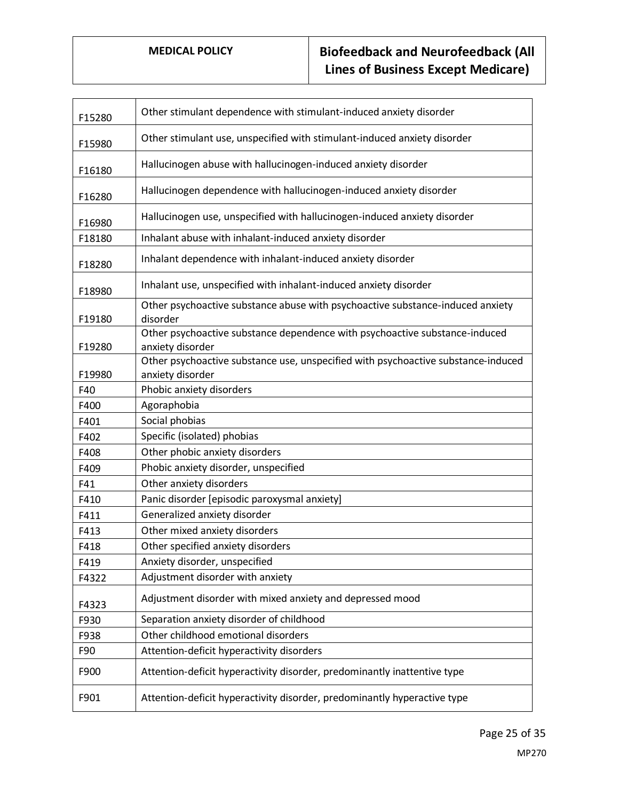| F15280 | Other stimulant dependence with stimulant-induced anxiety disorder                              |
|--------|-------------------------------------------------------------------------------------------------|
| F15980 | Other stimulant use, unspecified with stimulant-induced anxiety disorder                        |
| F16180 | Hallucinogen abuse with hallucinogen-induced anxiety disorder                                   |
| F16280 | Hallucinogen dependence with hallucinogen-induced anxiety disorder                              |
| F16980 | Hallucinogen use, unspecified with hallucinogen-induced anxiety disorder                        |
| F18180 | Inhalant abuse with inhalant-induced anxiety disorder                                           |
| F18280 | Inhalant dependence with inhalant-induced anxiety disorder                                      |
| F18980 | Inhalant use, unspecified with inhalant-induced anxiety disorder                                |
| F19180 | Other psychoactive substance abuse with psychoactive substance-induced anxiety<br>disorder      |
| F19280 | Other psychoactive substance dependence with psychoactive substance-induced<br>anxiety disorder |
|        | Other psychoactive substance use, unspecified with psychoactive substance-induced               |
| F19980 | anxiety disorder                                                                                |
| F40    | Phobic anxiety disorders                                                                        |
| F400   | Agoraphobia                                                                                     |
| F401   | Social phobias                                                                                  |
| F402   | Specific (isolated) phobias                                                                     |
| F408   | Other phobic anxiety disorders                                                                  |
| F409   | Phobic anxiety disorder, unspecified                                                            |
| F41    | Other anxiety disorders                                                                         |
| F410   | Panic disorder [episodic paroxysmal anxiety]                                                    |
| F411   | Generalized anxiety disorder                                                                    |
| F413   | Other mixed anxiety disorders                                                                   |
| F418   | Other specified anxiety disorders                                                               |
| F419   | Anxiety disorder, unspecified                                                                   |
| F4322  | Adjustment disorder with anxiety                                                                |
| F4323  | Adjustment disorder with mixed anxiety and depressed mood                                       |
| F930   | Separation anxiety disorder of childhood                                                        |
| F938   | Other childhood emotional disorders                                                             |
| F90    | Attention-deficit hyperactivity disorders                                                       |
| F900   | Attention-deficit hyperactivity disorder, predominantly inattentive type                        |
| F901   | Attention-deficit hyperactivity disorder, predominantly hyperactive type                        |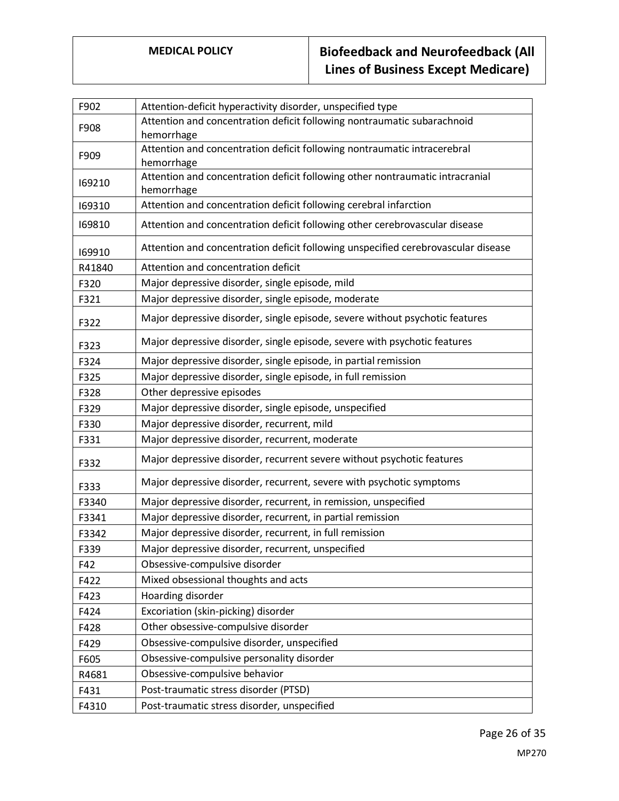| F902   | Attention-deficit hyperactivity disorder, unspecified type                                  |
|--------|---------------------------------------------------------------------------------------------|
| F908   | Attention and concentration deficit following nontraumatic subarachnoid<br>hemorrhage       |
| F909   | Attention and concentration deficit following nontraumatic intracerebral<br>hemorrhage      |
| 169210 | Attention and concentration deficit following other nontraumatic intracranial<br>hemorrhage |
| 169310 | Attention and concentration deficit following cerebral infarction                           |
| 169810 | Attention and concentration deficit following other cerebrovascular disease                 |
| 169910 | Attention and concentration deficit following unspecified cerebrovascular disease           |
| R41840 | Attention and concentration deficit                                                         |
| F320   | Major depressive disorder, single episode, mild                                             |
| F321   | Major depressive disorder, single episode, moderate                                         |
| F322   | Major depressive disorder, single episode, severe without psychotic features                |
| F323   | Major depressive disorder, single episode, severe with psychotic features                   |
| F324   | Major depressive disorder, single episode, in partial remission                             |
| F325   | Major depressive disorder, single episode, in full remission                                |
| F328   | Other depressive episodes                                                                   |
| F329   | Major depressive disorder, single episode, unspecified                                      |
| F330   | Major depressive disorder, recurrent, mild                                                  |
| F331   | Major depressive disorder, recurrent, moderate                                              |
| F332   | Major depressive disorder, recurrent severe without psychotic features                      |
| F333   | Major depressive disorder, recurrent, severe with psychotic symptoms                        |
| F3340  | Major depressive disorder, recurrent, in remission, unspecified                             |
| F3341  | Major depressive disorder, recurrent, in partial remission                                  |
| F3342  | Major depressive disorder, recurrent, in full remission                                     |
| F339   | Major depressive disorder, recurrent, unspecified                                           |
| F42    | Obsessive-compulsive disorder                                                               |
| F422   | Mixed obsessional thoughts and acts                                                         |
| F423   | Hoarding disorder                                                                           |
| F424   | Excoriation (skin-picking) disorder                                                         |
| F428   | Other obsessive-compulsive disorder                                                         |
| F429   | Obsessive-compulsive disorder, unspecified                                                  |
| F605   | Obsessive-compulsive personality disorder                                                   |
| R4681  | Obsessive-compulsive behavior                                                               |
| F431   | Post-traumatic stress disorder (PTSD)                                                       |
| F4310  | Post-traumatic stress disorder, unspecified                                                 |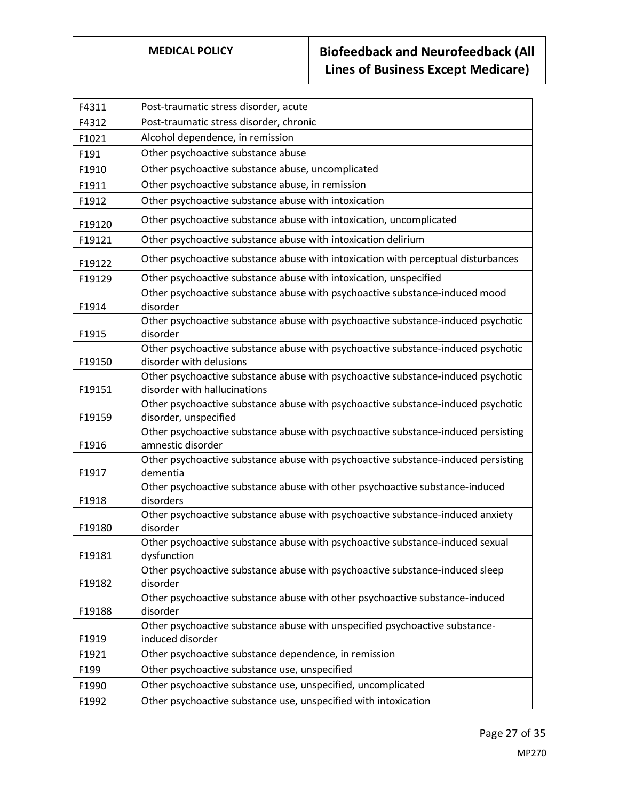| F4311  | Post-traumatic stress disorder, acute                                                                            |
|--------|------------------------------------------------------------------------------------------------------------------|
| F4312  | Post-traumatic stress disorder, chronic                                                                          |
| F1021  | Alcohol dependence, in remission                                                                                 |
| F191   | Other psychoactive substance abuse                                                                               |
| F1910  | Other psychoactive substance abuse, uncomplicated                                                                |
| F1911  | Other psychoactive substance abuse, in remission                                                                 |
| F1912  | Other psychoactive substance abuse with intoxication                                                             |
| F19120 | Other psychoactive substance abuse with intoxication, uncomplicated                                              |
| F19121 | Other psychoactive substance abuse with intoxication delirium                                                    |
| F19122 | Other psychoactive substance abuse with intoxication with perceptual disturbances                                |
| F19129 | Other psychoactive substance abuse with intoxication, unspecified                                                |
| F1914  | Other psychoactive substance abuse with psychoactive substance-induced mood<br>disorder                          |
| F1915  | Other psychoactive substance abuse with psychoactive substance-induced psychotic<br>disorder                     |
|        | Other psychoactive substance abuse with psychoactive substance-induced psychotic                                 |
| F19150 | disorder with delusions                                                                                          |
| F19151 | Other psychoactive substance abuse with psychoactive substance-induced psychotic<br>disorder with hallucinations |
| F19159 | Other psychoactive substance abuse with psychoactive substance-induced psychotic<br>disorder, unspecified        |
| F1916  | Other psychoactive substance abuse with psychoactive substance-induced persisting<br>amnestic disorder           |
| F1917  | Other psychoactive substance abuse with psychoactive substance-induced persisting<br>dementia                    |
| F1918  | Other psychoactive substance abuse with other psychoactive substance-induced<br>disorders                        |
| F19180 | Other psychoactive substance abuse with psychoactive substance-induced anxiety<br>disorder                       |
| F19181 | Other psychoactive substance abuse with psychoactive substance-induced sexual<br>dysfunction                     |
| F19182 | Other psychoactive substance abuse with psychoactive substance-induced sleep<br>disorder                         |
| F19188 | Other psychoactive substance abuse with other psychoactive substance-induced<br>disorder                         |
|        | Other psychoactive substance abuse with unspecified psychoactive substance-                                      |
| F1919  | induced disorder                                                                                                 |
| F1921  | Other psychoactive substance dependence, in remission                                                            |
| F199   | Other psychoactive substance use, unspecified                                                                    |
| F1990  | Other psychoactive substance use, unspecified, uncomplicated                                                     |
| F1992  | Other psychoactive substance use, unspecified with intoxication                                                  |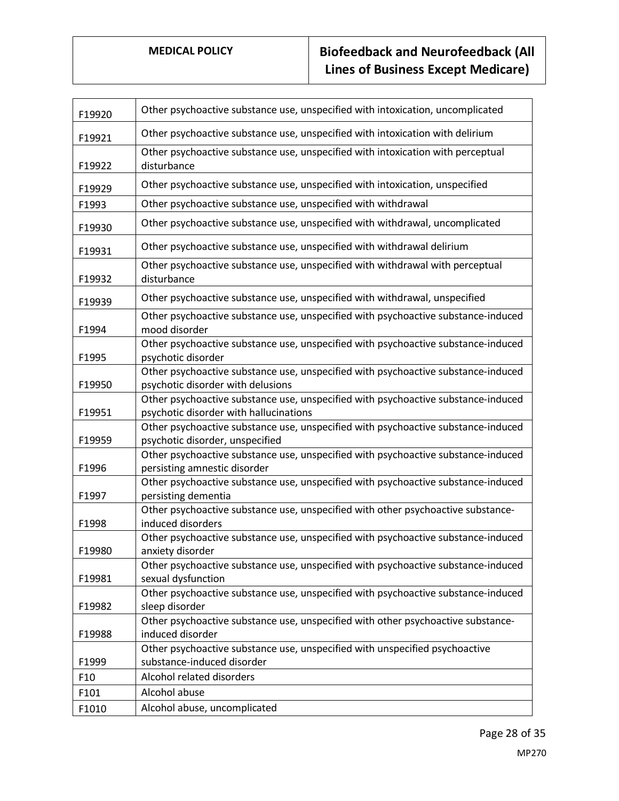| F19920 | Other psychoactive substance use, unspecified with intoxication, uncomplicated                                              |
|--------|-----------------------------------------------------------------------------------------------------------------------------|
| F19921 | Other psychoactive substance use, unspecified with intoxication with delirium                                               |
| F19922 | Other psychoactive substance use, unspecified with intoxication with perceptual<br>disturbance                              |
| F19929 | Other psychoactive substance use, unspecified with intoxication, unspecified                                                |
| F1993  | Other psychoactive substance use, unspecified with withdrawal                                                               |
| F19930 | Other psychoactive substance use, unspecified with withdrawal, uncomplicated                                                |
| F19931 | Other psychoactive substance use, unspecified with withdrawal delirium                                                      |
| F19932 | Other psychoactive substance use, unspecified with withdrawal with perceptual<br>disturbance                                |
| F19939 | Other psychoactive substance use, unspecified with withdrawal, unspecified                                                  |
| F1994  | Other psychoactive substance use, unspecified with psychoactive substance-induced<br>mood disorder                          |
| F1995  | Other psychoactive substance use, unspecified with psychoactive substance-induced<br>psychotic disorder                     |
| F19950 | Other psychoactive substance use, unspecified with psychoactive substance-induced<br>psychotic disorder with delusions      |
| F19951 | Other psychoactive substance use, unspecified with psychoactive substance-induced<br>psychotic disorder with hallucinations |
| F19959 | Other psychoactive substance use, unspecified with psychoactive substance-induced<br>psychotic disorder, unspecified        |
| F1996  | Other psychoactive substance use, unspecified with psychoactive substance-induced<br>persisting amnestic disorder           |
| F1997  | Other psychoactive substance use, unspecified with psychoactive substance-induced<br>persisting dementia                    |
| F1998  | Other psychoactive substance use, unspecified with other psychoactive substance-<br>induced disorders                       |
| F19980 | Other psychoactive substance use, unspecified with psychoactive substance-induced<br>anxiety disorder                       |
| F19981 | Other psychoactive substance use, unspecified with psychoactive substance-induced<br>sexual dysfunction                     |
| F19982 | Other psychoactive substance use, unspecified with psychoactive substance-induced<br>sleep disorder                         |
| F19988 | Other psychoactive substance use, unspecified with other psychoactive substance-<br>induced disorder                        |
| F1999  | Other psychoactive substance use, unspecified with unspecified psychoactive<br>substance-induced disorder                   |
| F10    | Alcohol related disorders                                                                                                   |
| F101   | Alcohol abuse                                                                                                               |
| F1010  | Alcohol abuse, uncomplicated                                                                                                |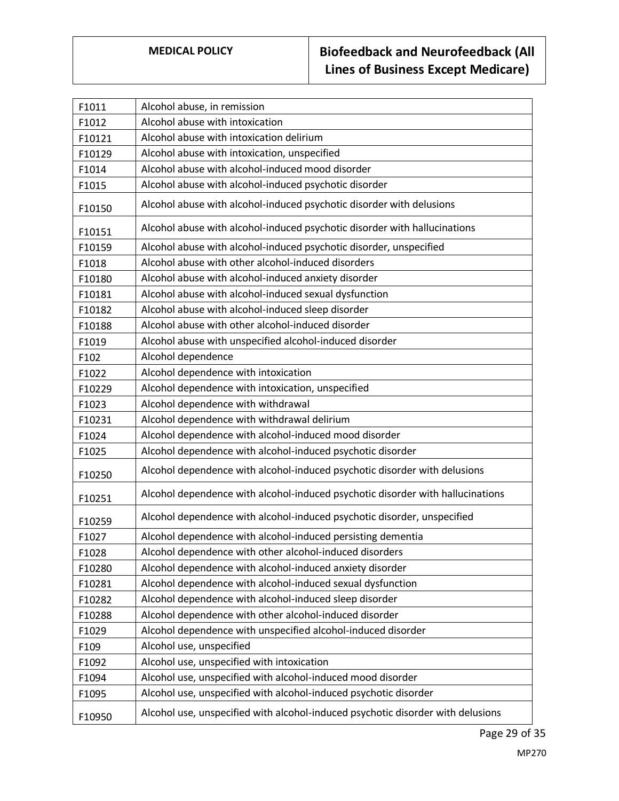| F1011  | Alcohol abuse, in remission                                                     |
|--------|---------------------------------------------------------------------------------|
| F1012  | Alcohol abuse with intoxication                                                 |
| F10121 | Alcohol abuse with intoxication delirium                                        |
| F10129 | Alcohol abuse with intoxication, unspecified                                    |
| F1014  | Alcohol abuse with alcohol-induced mood disorder                                |
| F1015  | Alcohol abuse with alcohol-induced psychotic disorder                           |
| F10150 | Alcohol abuse with alcohol-induced psychotic disorder with delusions            |
| F10151 | Alcohol abuse with alcohol-induced psychotic disorder with hallucinations       |
| F10159 | Alcohol abuse with alcohol-induced psychotic disorder, unspecified              |
| F1018  | Alcohol abuse with other alcohol-induced disorders                              |
| F10180 | Alcohol abuse with alcohol-induced anxiety disorder                             |
| F10181 | Alcohol abuse with alcohol-induced sexual dysfunction                           |
| F10182 | Alcohol abuse with alcohol-induced sleep disorder                               |
| F10188 | Alcohol abuse with other alcohol-induced disorder                               |
| F1019  | Alcohol abuse with unspecified alcohol-induced disorder                         |
| F102   | Alcohol dependence                                                              |
| F1022  | Alcohol dependence with intoxication                                            |
| F10229 | Alcohol dependence with intoxication, unspecified                               |
| F1023  | Alcohol dependence with withdrawal                                              |
| F10231 | Alcohol dependence with withdrawal delirium                                     |
| F1024  | Alcohol dependence with alcohol-induced mood disorder                           |
| F1025  | Alcohol dependence with alcohol-induced psychotic disorder                      |
| F10250 | Alcohol dependence with alcohol-induced psychotic disorder with delusions       |
| F10251 | Alcohol dependence with alcohol-induced psychotic disorder with hallucinations  |
| F10259 | Alcohol dependence with alcohol-induced psychotic disorder, unspecified         |
| F1027  | Alcohol dependence with alcohol-induced persisting dementia                     |
| F1028  | Alcohol dependence with other alcohol-induced disorders                         |
| F10280 | Alcohol dependence with alcohol-induced anxiety disorder                        |
| F10281 | Alcohol dependence with alcohol-induced sexual dysfunction                      |
| F10282 | Alcohol dependence with alcohol-induced sleep disorder                          |
| F10288 | Alcohol dependence with other alcohol-induced disorder                          |
| F1029  | Alcohol dependence with unspecified alcohol-induced disorder                    |
| F109   | Alcohol use, unspecified                                                        |
| F1092  | Alcohol use, unspecified with intoxication                                      |
| F1094  | Alcohol use, unspecified with alcohol-induced mood disorder                     |
| F1095  | Alcohol use, unspecified with alcohol-induced psychotic disorder                |
| F10950 | Alcohol use, unspecified with alcohol-induced psychotic disorder with delusions |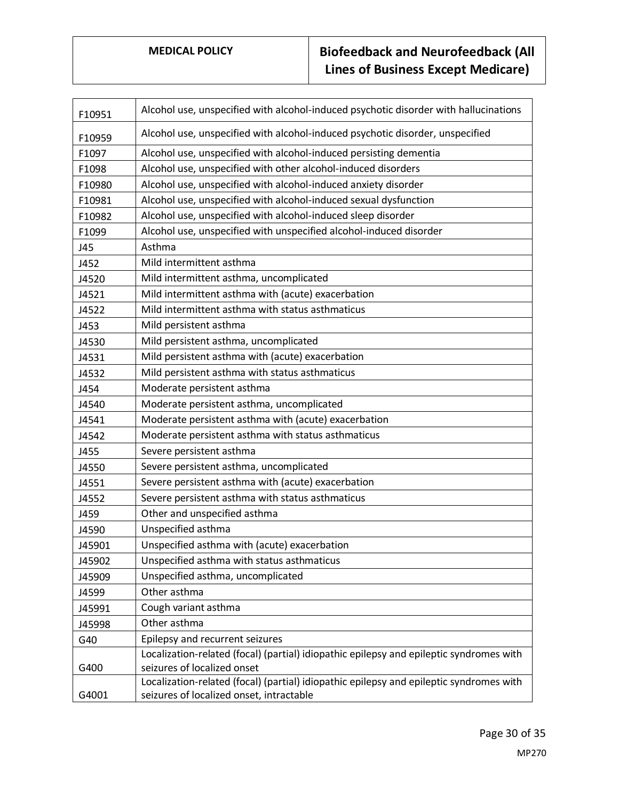| F10951 | Alcohol use, unspecified with alcohol-induced psychotic disorder with hallucinations    |
|--------|-----------------------------------------------------------------------------------------|
| F10959 | Alcohol use, unspecified with alcohol-induced psychotic disorder, unspecified           |
| F1097  | Alcohol use, unspecified with alcohol-induced persisting dementia                       |
| F1098  | Alcohol use, unspecified with other alcohol-induced disorders                           |
| F10980 | Alcohol use, unspecified with alcohol-induced anxiety disorder                          |
| F10981 | Alcohol use, unspecified with alcohol-induced sexual dysfunction                        |
| F10982 | Alcohol use, unspecified with alcohol-induced sleep disorder                            |
| F1099  | Alcohol use, unspecified with unspecified alcohol-induced disorder                      |
| J45    | Asthma                                                                                  |
| J452   | Mild intermittent asthma                                                                |
| J4520  | Mild intermittent asthma, uncomplicated                                                 |
| J4521  | Mild intermittent asthma with (acute) exacerbation                                      |
| J4522  | Mild intermittent asthma with status asthmaticus                                        |
| J453   | Mild persistent asthma                                                                  |
| J4530  | Mild persistent asthma, uncomplicated                                                   |
| J4531  | Mild persistent asthma with (acute) exacerbation                                        |
| J4532  | Mild persistent asthma with status asthmaticus                                          |
| J454   | Moderate persistent asthma                                                              |
| J4540  | Moderate persistent asthma, uncomplicated                                               |
| J4541  | Moderate persistent asthma with (acute) exacerbation                                    |
| J4542  | Moderate persistent asthma with status asthmaticus                                      |
| J455   | Severe persistent asthma                                                                |
| J4550  | Severe persistent asthma, uncomplicated                                                 |
| J4551  | Severe persistent asthma with (acute) exacerbation                                      |
| J4552  | Severe persistent asthma with status asthmaticus                                        |
| J459   | Other and unspecified asthma                                                            |
| J4590  | Unspecified asthma                                                                      |
| J45901 | Unspecified asthma with (acute) exacerbation                                            |
| J45902 | Unspecified asthma with status asthmaticus                                              |
| J45909 | Unspecified asthma, uncomplicated                                                       |
| J4599  | Other asthma                                                                            |
| J45991 | Cough variant asthma                                                                    |
| J45998 | Other asthma                                                                            |
| G40    | Epilepsy and recurrent seizures                                                         |
|        | Localization-related (focal) (partial) idiopathic epilepsy and epileptic syndromes with |
| G400   | seizures of localized onset                                                             |
|        | Localization-related (focal) (partial) idiopathic epilepsy and epileptic syndromes with |
| G4001  | seizures of localized onset, intractable                                                |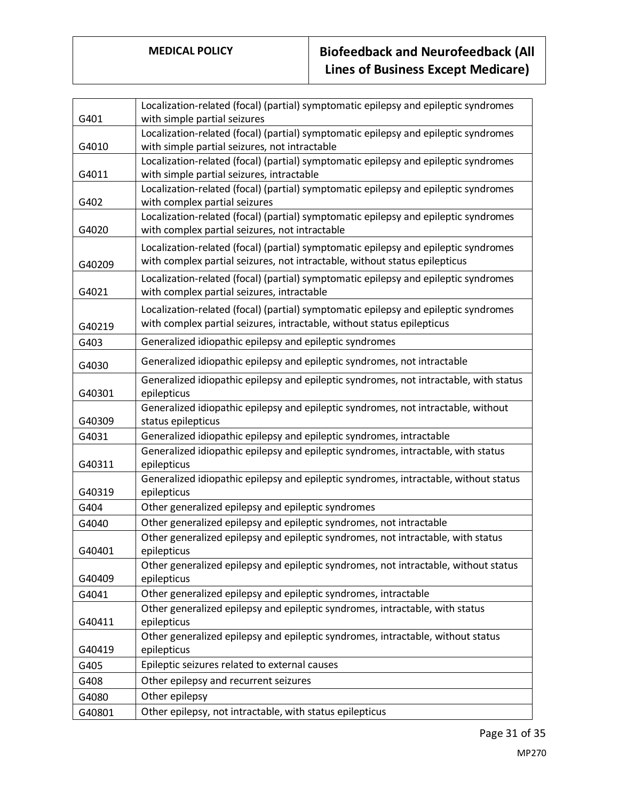| Localization-related (focal) (partial) symptomatic epilepsy and epileptic syndromes                        |  |
|------------------------------------------------------------------------------------------------------------|--|
| G401<br>with simple partial seizures                                                                       |  |
| Localization-related (focal) (partial) symptomatic epilepsy and epileptic syndromes                        |  |
| with simple partial seizures, not intractable<br>G4010                                                     |  |
| Localization-related (focal) (partial) symptomatic epilepsy and epileptic syndromes                        |  |
| with simple partial seizures, intractable<br>G4011                                                         |  |
| Localization-related (focal) (partial) symptomatic epilepsy and epileptic syndromes                        |  |
| G402<br>with complex partial seizures                                                                      |  |
| Localization-related (focal) (partial) symptomatic epilepsy and epileptic syndromes                        |  |
| G4020<br>with complex partial seizures, not intractable                                                    |  |
| Localization-related (focal) (partial) symptomatic epilepsy and epileptic syndromes                        |  |
| with complex partial seizures, not intractable, without status epilepticus<br>G40209                       |  |
| Localization-related (focal) (partial) symptomatic epilepsy and epileptic syndromes                        |  |
| with complex partial seizures, intractable<br>G4021                                                        |  |
| Localization-related (focal) (partial) symptomatic epilepsy and epileptic syndromes                        |  |
| with complex partial seizures, intractable, without status epilepticus<br>G40219                           |  |
| Generalized idiopathic epilepsy and epileptic syndromes<br>G403                                            |  |
| Generalized idiopathic epilepsy and epileptic syndromes, not intractable                                   |  |
| G4030                                                                                                      |  |
| Generalized idiopathic epilepsy and epileptic syndromes, not intractable, with status                      |  |
| G40301<br>epilepticus<br>Generalized idiopathic epilepsy and epileptic syndromes, not intractable, without |  |
| G40309<br>status epilepticus                                                                               |  |
| Generalized idiopathic epilepsy and epileptic syndromes, intractable<br>G4031                              |  |
| Generalized idiopathic epilepsy and epileptic syndromes, intractable, with status                          |  |
| G40311<br>epilepticus                                                                                      |  |
| Generalized idiopathic epilepsy and epileptic syndromes, intractable, without status                       |  |
| G40319<br>epilepticus                                                                                      |  |
| Other generalized epilepsy and epileptic syndromes<br>G404                                                 |  |
| Other generalized epilepsy and epileptic syndromes, not intractable<br>G4040                               |  |
| Other generalized epilepsy and epileptic syndromes, not intractable, with status                           |  |
| G40401<br>epilepticus                                                                                      |  |
| Other generalized epilepsy and epileptic syndromes, not intractable, without status                        |  |
| epilepticus<br>G40409                                                                                      |  |
| Other generalized epilepsy and epileptic syndromes, intractable<br>G4041                                   |  |
| Other generalized epilepsy and epileptic syndromes, intractable, with status                               |  |
| epilepticus<br>G40411                                                                                      |  |
| Other generalized epilepsy and epileptic syndromes, intractable, without status                            |  |
| G40419<br>epilepticus                                                                                      |  |
| Epileptic seizures related to external causes<br>G405                                                      |  |
| Other epilepsy and recurrent seizures<br>G408                                                              |  |
| Other epilepsy<br>G4080                                                                                    |  |
| Other epilepsy, not intractable, with status epilepticus<br>G40801                                         |  |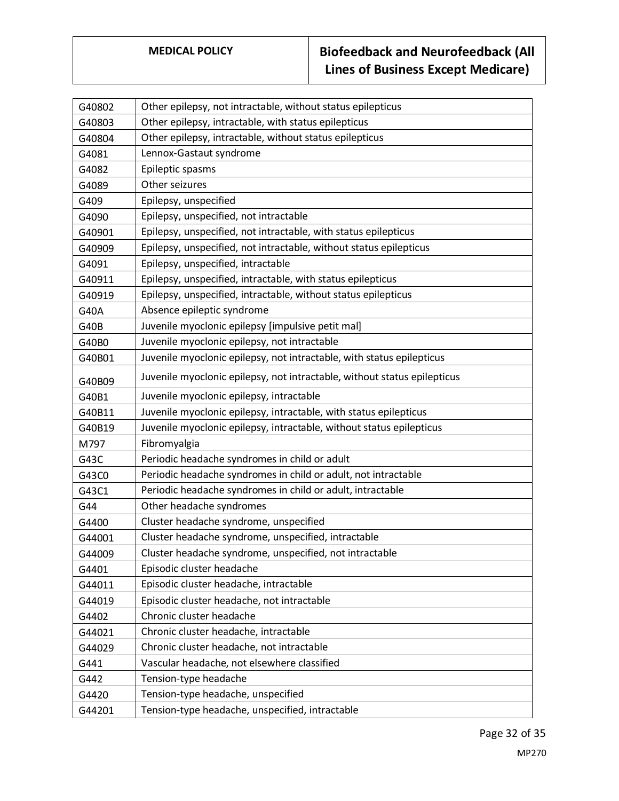| G40802 | Other epilepsy, not intractable, without status epilepticus              |
|--------|--------------------------------------------------------------------------|
| G40803 | Other epilepsy, intractable, with status epilepticus                     |
| G40804 | Other epilepsy, intractable, without status epilepticus                  |
| G4081  | Lennox-Gastaut syndrome                                                  |
| G4082  | Epileptic spasms                                                         |
| G4089  | Other seizures                                                           |
| G409   | Epilepsy, unspecified                                                    |
| G4090  | Epilepsy, unspecified, not intractable                                   |
| G40901 | Epilepsy, unspecified, not intractable, with status epilepticus          |
| G40909 | Epilepsy, unspecified, not intractable, without status epilepticus       |
| G4091  | Epilepsy, unspecified, intractable                                       |
| G40911 | Epilepsy, unspecified, intractable, with status epilepticus              |
| G40919 | Epilepsy, unspecified, intractable, without status epilepticus           |
| G40A   | Absence epileptic syndrome                                               |
| G40B   | Juvenile myoclonic epilepsy [impulsive petit mal]                        |
| G40B0  | Juvenile myoclonic epilepsy, not intractable                             |
| G40B01 | Juvenile myoclonic epilepsy, not intractable, with status epilepticus    |
| G40B09 | Juvenile myoclonic epilepsy, not intractable, without status epilepticus |
| G40B1  | Juvenile myoclonic epilepsy, intractable                                 |
| G40B11 | Juvenile myoclonic epilepsy, intractable, with status epilepticus        |
| G40B19 | Juvenile myoclonic epilepsy, intractable, without status epilepticus     |
| M797   | Fibromyalgia                                                             |
| G43C   | Periodic headache syndromes in child or adult                            |
| G43C0  | Periodic headache syndromes in child or adult, not intractable           |
| G43C1  | Periodic headache syndromes in child or adult, intractable               |
| G44    | Other headache syndromes                                                 |
| G4400  | Cluster headache syndrome, unspecified                                   |
| G44001 | Cluster headache syndrome, unspecified, intractable                      |
| G44009 | Cluster headache syndrome, unspecified, not intractable                  |
| G4401  | Episodic cluster headache                                                |
| G44011 | Episodic cluster headache, intractable                                   |
| G44019 | Episodic cluster headache, not intractable                               |
| G4402  | Chronic cluster headache                                                 |
| G44021 | Chronic cluster headache, intractable                                    |
| G44029 | Chronic cluster headache, not intractable                                |
| G441   | Vascular headache, not elsewhere classified                              |
| G442   | Tension-type headache                                                    |
| G4420  | Tension-type headache, unspecified                                       |
| G44201 | Tension-type headache, unspecified, intractable                          |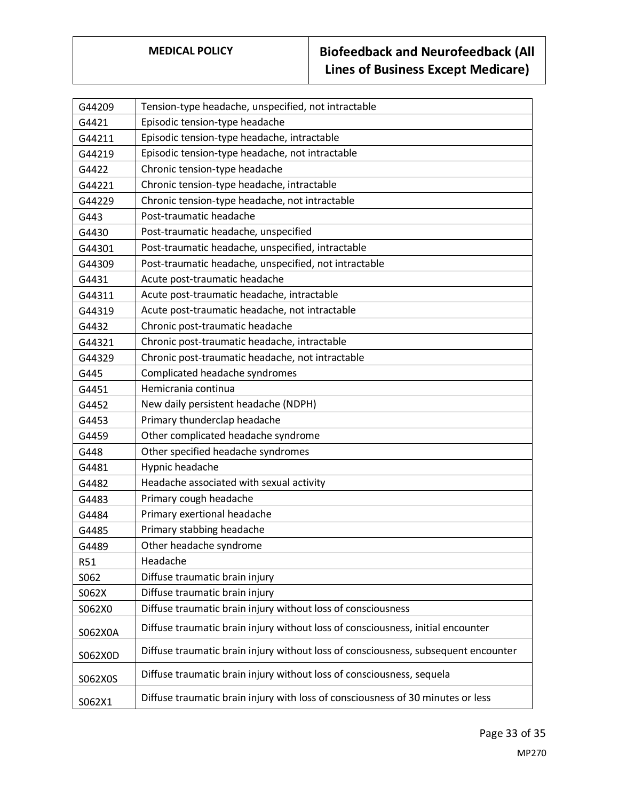| G44209     | Tension-type headache, unspecified, not intractable                                |
|------------|------------------------------------------------------------------------------------|
| G4421      | Episodic tension-type headache                                                     |
| G44211     | Episodic tension-type headache, intractable                                        |
| G44219     | Episodic tension-type headache, not intractable                                    |
| G4422      | Chronic tension-type headache                                                      |
| G44221     | Chronic tension-type headache, intractable                                         |
| G44229     | Chronic tension-type headache, not intractable                                     |
| G443       | Post-traumatic headache                                                            |
| G4430      | Post-traumatic headache, unspecified                                               |
| G44301     | Post-traumatic headache, unspecified, intractable                                  |
| G44309     | Post-traumatic headache, unspecified, not intractable                              |
| G4431      | Acute post-traumatic headache                                                      |
| G44311     | Acute post-traumatic headache, intractable                                         |
| G44319     | Acute post-traumatic headache, not intractable                                     |
| G4432      | Chronic post-traumatic headache                                                    |
| G44321     | Chronic post-traumatic headache, intractable                                       |
| G44329     | Chronic post-traumatic headache, not intractable                                   |
| G445       | Complicated headache syndromes                                                     |
| G4451      | Hemicrania continua                                                                |
| G4452      | New daily persistent headache (NDPH)                                               |
| G4453      | Primary thunderclap headache                                                       |
| G4459      | Other complicated headache syndrome                                                |
| G448       | Other specified headache syndromes                                                 |
| G4481      | Hypnic headache                                                                    |
| G4482      | Headache associated with sexual activity                                           |
| G4483      | Primary cough headache                                                             |
| G4484      | Primary exertional headache                                                        |
| G4485      | Primary stabbing headache                                                          |
| G4489      | Other headache syndrome                                                            |
| <b>R51</b> | Headache                                                                           |
| S062       | Diffuse traumatic brain injury                                                     |
| S062X      | Diffuse traumatic brain injury                                                     |
| S062X0     | Diffuse traumatic brain injury without loss of consciousness                       |
| S062X0A    | Diffuse traumatic brain injury without loss of consciousness, initial encounter    |
| S062X0D    | Diffuse traumatic brain injury without loss of consciousness, subsequent encounter |
| S062X0S    | Diffuse traumatic brain injury without loss of consciousness, sequela              |
| S062X1     | Diffuse traumatic brain injury with loss of consciousness of 30 minutes or less    |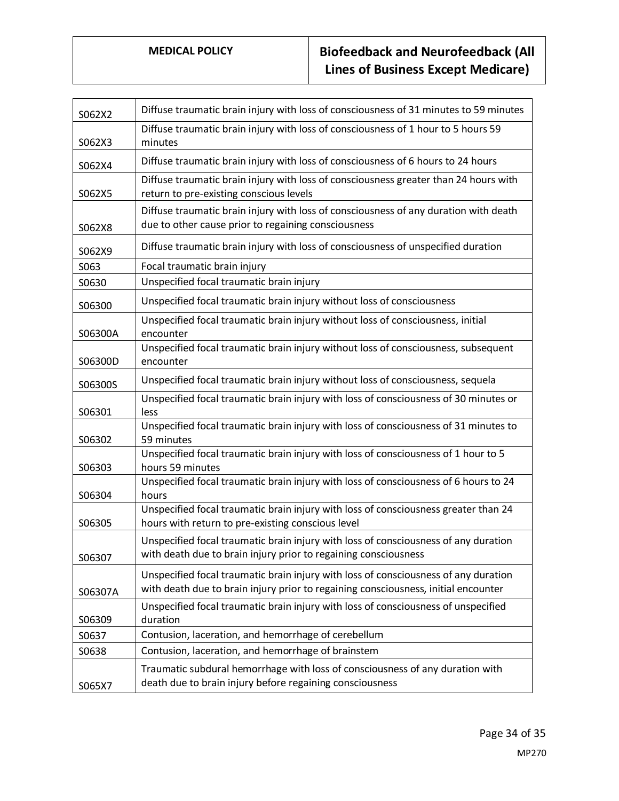| S062X2  | Diffuse traumatic brain injury with loss of consciousness of 31 minutes to 59 minutes                                                                                     |
|---------|---------------------------------------------------------------------------------------------------------------------------------------------------------------------------|
| S062X3  | Diffuse traumatic brain injury with loss of consciousness of 1 hour to 5 hours 59<br>minutes                                                                              |
| S062X4  | Diffuse traumatic brain injury with loss of consciousness of 6 hours to 24 hours                                                                                          |
| S062X5  | Diffuse traumatic brain injury with loss of consciousness greater than 24 hours with<br>return to pre-existing conscious levels                                           |
| S062X8  | Diffuse traumatic brain injury with loss of consciousness of any duration with death<br>due to other cause prior to regaining consciousness                               |
| S062X9  | Diffuse traumatic brain injury with loss of consciousness of unspecified duration                                                                                         |
| S063    | Focal traumatic brain injury                                                                                                                                              |
| S0630   | Unspecified focal traumatic brain injury                                                                                                                                  |
| S06300  | Unspecified focal traumatic brain injury without loss of consciousness                                                                                                    |
| S06300A | Unspecified focal traumatic brain injury without loss of consciousness, initial<br>encounter                                                                              |
| S06300D | Unspecified focal traumatic brain injury without loss of consciousness, subsequent<br>encounter                                                                           |
| S06300S | Unspecified focal traumatic brain injury without loss of consciousness, sequela                                                                                           |
| S06301  | Unspecified focal traumatic brain injury with loss of consciousness of 30 minutes or<br>less                                                                              |
| S06302  | Unspecified focal traumatic brain injury with loss of consciousness of 31 minutes to<br>59 minutes                                                                        |
| S06303  | Unspecified focal traumatic brain injury with loss of consciousness of 1 hour to 5<br>hours 59 minutes                                                                    |
| S06304  | Unspecified focal traumatic brain injury with loss of consciousness of 6 hours to 24<br>hours                                                                             |
| S06305  | Unspecified focal traumatic brain injury with loss of consciousness greater than 24<br>hours with return to pre-existing conscious level                                  |
| S06307  | Unspecified focal traumatic brain injury with loss of consciousness of any duration<br>with death due to brain injury prior to regaining consciousness                    |
| S06307A | Unspecified focal traumatic brain injury with loss of consciousness of any duration<br>with death due to brain injury prior to regaining consciousness, initial encounter |
|         | Unspecified focal traumatic brain injury with loss of consciousness of unspecified<br>duration                                                                            |
| S06309  |                                                                                                                                                                           |
| S0637   | Contusion, laceration, and hemorrhage of cerebellum                                                                                                                       |
| S0638   | Contusion, laceration, and hemorrhage of brainstem                                                                                                                        |